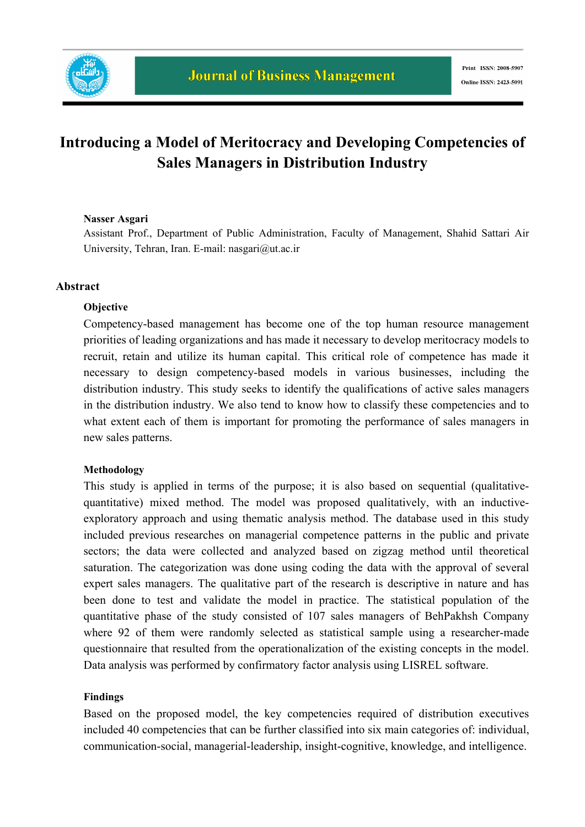

# **Introducing a Model of Meritocracy and Developing Competencies of Sales Managers in Distribution Industry**

#### **Nasser Asgari**

Assistant Prof., Department of Public Administration, Faculty of Management, Shahid Sattari Air University, Tehran, Iran. E-mail: nasgari@ut.ac.ir

### **Abstract**

#### **Objective**

Competency-based management has become one of the top human resource management priorities of leading organizations and has made it necessary to develop meritocracy models to recruit, retain and utilize its human capital. This critical role of competence has made it necessary to design competency-based models in various businesses, including the distribution industry. This study seeks to identify the qualifications of active sales managers in the distribution industry. We also tend to know how to classify these competencies and to what extent each of them is important for promoting the performance of sales managers in new sales patterns.

#### **Methodology**

This study is applied in terms of the purpose; it is also based on sequential (qualitativequantitative) mixed method. The model was proposed qualitatively, with an inductiveexploratory approach and using thematic analysis method. The database used in this study included previous researches on managerial competence patterns in the public and private sectors; the data were collected and analyzed based on zigzag method until theoretical saturation. The categorization was done using coding the data with the approval of several expert sales managers. The qualitative part of the research is descriptive in nature and has been done to test and validate the model in practice. The statistical population of the quantitative phase of the study consisted of 107 sales managers of BehPakhsh Company where 92 of them were randomly selected as statistical sample using a researcher-made questionnaire that resulted from the operationalization of the existing concepts in the model. Data analysis was performed by confirmatory factor analysis using LISREL software.

#### **Findings**

Based on the proposed model, the key competencies required of distribution executives included 40 competencies that can be further classified into six main categories of: individual, communication-social, managerial-leadership, insight-cognitive, knowledge, and intelligence.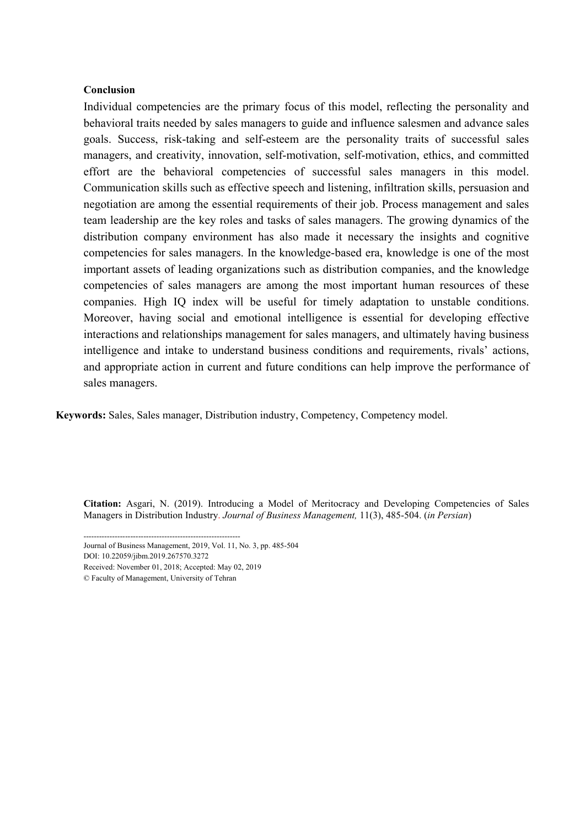#### **Conclusion**

Individual competencies are the primary focus of this model, reflecting the personality and behavioral traits needed by sales managers to guide and influence salesmen and advance sales goals. Success, risk-taking and self-esteem are the personality traits of successful sales managers, and creativity, innovation, self-motivation, self-motivation, ethics, and committed effort are the behavioral competencies of successful sales managers in this model. Communication skills such as effective speech and listening, infiltration skills, persuasion and negotiation are among the essential requirements of their job. Process management and sales team leadership are the key roles and tasks of sales managers. The growing dynamics of the distribution company environment has also made it necessary the insights and cognitive competencies for sales managers. In the knowledge-based era, knowledge is one of the most important assets of leading organizations such as distribution companies, and the knowledge competencies of sales managers are among the most important human resources of these companies. High IQ index will be useful for timely adaptation to unstable conditions. Moreover, having social and emotional intelligence is essential for developing effective interactions and relationships management for sales managers, and ultimately having business intelligence and intake to understand business conditions and requirements, rivals' actions, and appropriate action in current and future conditions can help improve the performance of sales managers.

**Keywords:** Sales, Sales manager, Distribution industry, Competency, Competency model.

**Citation:** Asgari, N. (2019). Introducing a Model of Meritocracy and Developing Competencies of Sales Managers in Distribution Industry. *Journal of Business Management,* 11(3), 485-504. (*in Persian*)

Received: November 01, 2018; Accepted: May 02, 2019

<sup>------------------------------------------------------------</sup>  Journal of Business Management, 2019, Vol. 11, No. 3, pp. 485-504

DOI: 10.22059/jibm.2019.267570.3272

<sup>©</sup> Faculty of Management, University of Tehran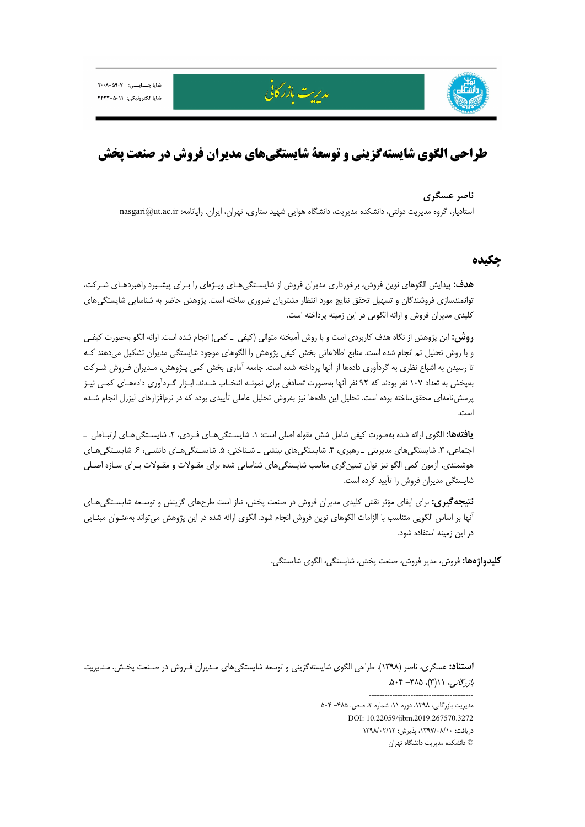



# **طراحي الگوي شايستهگزيني و توسعة شايستگيهاي مديران فروش در صنعت پخش**

مدىرت مازرگانى

#### **ناصر عسگري**

استاديار، گروه مديريت دولتي، دانشكده مديريت، دانشگاه هوايي شهيد ستاري، تهران، ايران. رايانامه: nasgari@ut.ac.ir

## **چكيده**

**هدف:** پيدايش الگوهاي نوين فروش، برخورداري مديران فروش از شايسـتگيهـاي ويـژهاي را بـراي پيشـبرد راهبردهـاي شـركت، توانمندسازي فروشندگان و تسهيل تحقق نتايج مورد انتظار مشتريان ضروري ساخته است. پژوهش حاضر به شناسايي شايستگيهاي كليدي مديران فروش و ارائه الگويي در اين زمينه پرداخته است.

**روش:** اين پژوهش از نگاه هدف كاربردي است و با روش آميخته متوالي (كيفي ـ كمي) انجام شده است. ارائه الگو بهصورت كيفـي و با روش تحليل تم انجام شده است. منابع اطلاعاتي بخش كيفي پژوهش را الگوهاي موجود شايستگي مديران تشكيل ميدهند كـه تا رسيدن به اشباع نظري به گردآوري دادهها از آنها پرداخته شده است. جامعه آماري بخش كمي پـژوهش، مـديران فـروش شـركت بهپخش به تعداد 107 نفر بودند كه 92 نفر آنها بهصورت تصادفي براي نمونـه انتخـاب شـدند. ابـزار گـردآوري دادههـاي كمـي نيـز پرسشنامهاي محققساخته بوده است. تحليل اين دادهها نيز بهروش تحليل عاملي تأييدي بوده كه در نرمافزارهاي ليزرل انجام شـده است.

**يافتهها:** الگوي ارائه شده بهصورت كيفي شامل شش مقوله اصلي است: .1 شايسـتگيهـاي فـردي، .2 شايسـتگيهـاي ارتبـاطي ـ اجتماعي، ٣. شايستگيهاي مديريتي ـ رهبري، ۴. شايستگيهاي بينشي ـ شـناختي، ۵. شايسـتگيهـاي دانشـي، ۶. شايسـتگيهـاي هوشمندي. آزمون كمي الگو نيز توان تبيينگري مناسب شايستگيهاي شناسايي شده براي مقـولات و مقـولات بـراي سـازه اصـلي شايستگي مديران فروش را تأييد كرده است.

**نتيجهگيري:** براي ايفاي مؤثر نقش كليدي مديران فروش در صنعت پخش، نياز است طرحهاي گزينش و توسـعه شايسـتگيهـاي آنها بر اساس الگويي متناسب با الزامات الگوهاي نوين فروش انجام شود. الگوي ارائه شده در اين پژوهش ميتواند بهعنـوان مبنـايي در اين زمينه استفاده شود.

**كليدواژهها:** فروش، مدير فروش، صنعت پخش، شايستگي، الگوي شايستگي.

**استناد:** عسگري، ناصر (1398). طراحي الگوي شايستهگزيني و توسعه شايستگيهاي مـديران فـروش در صـنعت پخـش. مـديريت  $\Lambda \cdot \mathfrak{f} - \mathfrak{f} \Lambda \Delta \cdot (\mathfrak{f}') \wedge (\mathfrak{f} \wedge \mathfrak{f})$ .

> ---------------------------------------- مديريت بازرگاني، ١٣٩٨، دوره ١١، شماره ٣، صص. ٥٠٤ - ٥٠۴ DOI: 10.22059/jibm.2019.267570.3272 دريافت: ،1397/08/10 پذيرش: 1398/02/12 © دانشكده مديريت دانشگاه تهران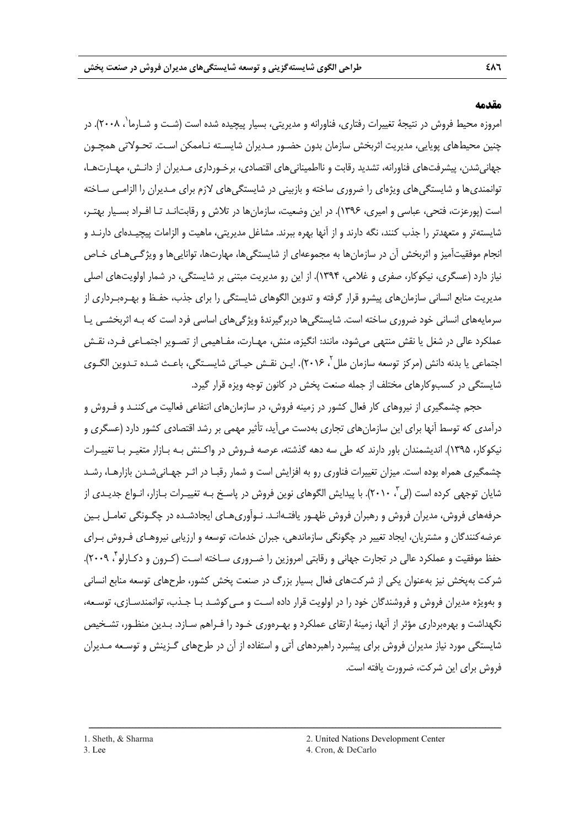#### **مقدمه**

ًمروزه محيط فروش در نتيجهٔ تغييرات رفتارى، فناورانه و مديريتى، بسيار پيچيده شده است (شـت و شـارما<sup>\</sup>، ٢٠٠٨). در چنين محيطهاي پويايي، مديريت اثربخش سازمان بدون حضـور مـديران شايسـته نـاممكن اسـت. تحـولاتي همچـون جهانيشدن، پيشرفتهاي فناورانه، تشديد رقابت و نااطمينانيهاي اقتصادي، برخـورداري مـديران از دانـش، مهـارتهـا، توانمنديها و شايستگيهاي ويژهاي را ضروري ساخته و بازبيني در شايستگيهاي لازم براي مـديران را الزامـي سـاخته است (پورعزت، فتحي، عباسي و اميري، 1396). در اين وضعيت، سازمانها در تلاش و رقابتانـد تـا افـراد بسـيار بهتـر، شايستهتر و متعهدتر را جذب كنند، نگه دارند و از آنها بهره ببرند. مشاغل مديريتي، ماهيت و الزامات پيچيـدهاي دارنـد و انجام موفقيتآميز و اثربخش آن در سازمانها به مجموعهاي از شايستگيها، مهارتها، تواناييها و ويژگـيهـاي خـاص نياز دارد (عسگري، نيكوكار، صفري و غلامي، 1394). از اين رو مديريت مبتني بر شايستگي، در شمار اولويتهاي اصلي مديريت منابع انساني سازمانهاي پيشرو قرار گرفته و تدوين الگوهاي شايستگي را براي جذب، حفـظ و بهـرهبـرداري از سرمايههاي انساني خود ضروري ساخته است. شايستگيها دربرگيرندة ويژگيهاي اساسي فرد است كه بـه اثربخشـي يـا عملكرد عالي در شغل يا نقش منتهي ميشود، مانند: انگيزه، منش، مهـارت، مفـاهيمي از تصـوير اجتمـاعي فـرد، نقـش اجتماعي يا بدنه دانش (مركز توسعه سازمان ملل<sup>7</sup>، ۲۰۱۶). ايـن نقـش حيـاتي شايسـتگي، باعـث شـده تـدوين الگـوي شايستگي در كسبوكارهاي مختلف از جمله صنعت پخش در كانون توجه ويزه قرار گيرد.

حجم چشمگيري از نيروهاي كار فعال كشور در زمينه فروش، در سازمانهاي انتفاعي فعاليت ميكننـد و فـروش و درآمدي كه توسط آنها براي اين سازمانهاي تجاري بهدست ميآيد، تأثير مهمي بر رشد اقتصادي كشور دارد (عسگري و نيكوكار، 1395). انديشمندان باور دارند كه طي سه دهه گذشته، عرصه فـروش در واكـنش بـه بـازار متغيـر بـا تغييـرات چشمگيري همراه بوده است. ميزان تغييرات فناوري رو به افزايش است و شمار رقبـا در اثـر جهـانيشـدن بازارهـا، رشـد شايان توجهي كرده است (لي ب ٢٠١٠). با پيدايش الگوهاي نوين فروش در پاسـخ بـه تغييـرات بـازار، انـواع جديـدي از حرفههاي فروش، مديران فروش و رهبران فروش ظهـور يافتـهانـد. نـوآوريهـاي ايجادشـده در چگـونگي تعامـل بـين عرضهكنندگان و مشتريان، ايجاد تغيير در چگونگي سازماندهي، جبران خدمات، توسعه و ارزيابي نيروهـاي فـروش بـراي حفظ موفقيت و عملكرد عالي در تجارت جهاني و رقابتي امروزين را ضـروري سـاخته اسـت (كـرون و دكـارلو<sup>۳</sup> ، ۲۰۰۹). شركت بهپخش نيز بهعنوان يكي از شركتهاي فعال بسيار بزرگ در صنعت پخش كشور، طرحهاي توسعه منابع انساني و بهويژه مديران فروش و فروشندگان خود را در اولويت قرار داده اسـت و مـيكوشـد بـا جـذب، توانمندسـازي، توسـعه، نگهداشت و بهرهبرداري مؤثر از آنها، زمينة ارتقاي عملكرد و بهـرهوري خـود را فـراهم سـازد. بـدين منظـور، تشـخيص شايستگي مورد نياز مديران فروش براي پيشبرد راهبردهاي آتي و استفاده از آن در طرحهاي گـزينش و توسـعه مـديران فروش براي اين شركت، ضرورت يافته است.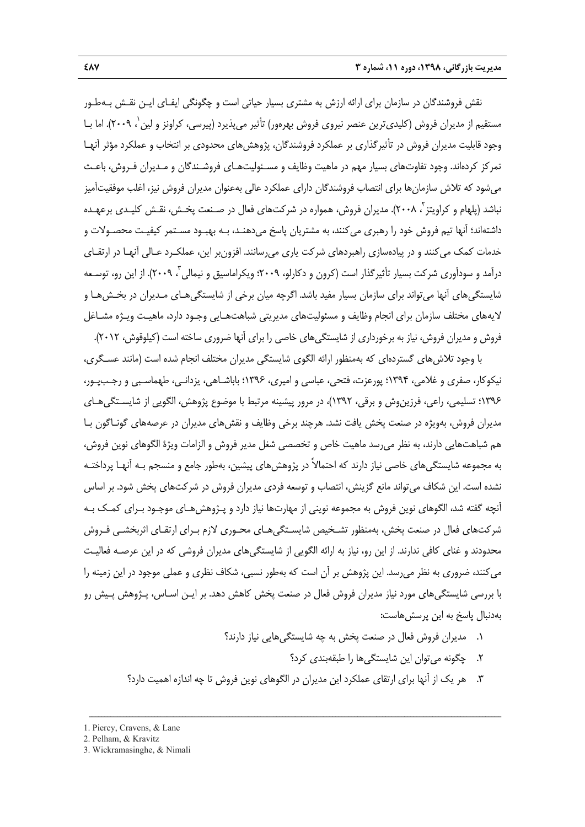نقش فروشندگان در سازمان براي ارائه ارزش به مشتري بسيار حياتي است و چگونگي ايفـاي ايـن نقـش بـهطـور مستقيم از مديران فروش (كليدي ترين عنصر نيروي فروش بهرهور) تأثير مي يذيرد (پيرسي، كراونز و لين`، ٢٠٠٩). اما بـا وجود قابليت مديران فروش در تأثيرگذاري بر عملكرد فروشندگان، پژوهشهاي محدودي بر انتخاب و عملكرد مؤثر آنهـا تمركز كردهاند. وجود تفاوتهاي بسيار مهم در ماهيت وظايف و مسـئوليتهـاي فروشـندگان و مـديران فـروش، باعـث ميشود كه تلاش سازمانها براي انتصاب فروشندگان داراي عملكرد عالي بهعنوان مديران فروش نيز، اغلب موفقيتآميز نباشد (پلهام و كراويتز <sup>۲</sup>، ۲۰۰۸). مديران فروش، همواره در شركتهاى فعال در صـنعت پخـش، نقـش كليـدى برعهـده داشتهاند؛ آنها تيم فروش خود را رهبري ميكنند، به مشتريان پاسخ ميدهنـد، بـه بهبـود مسـتمر كيفيـت محصـولات و خدمات كمك ميكنند و در پيادهسازي راهبردهاي شركت ياري ميرسانند. افزونبر اين، عملكـرد عـالي آنهـا در ارتقـاي درآمد و سودآوري شركت بسيار تأثيرگذار است (كرون و دكارلو، ٢٠٠٩؛ ويكراماسيق و نيمالي ، ٢٠٠٩). از اين رو، توسـعه شايستگيهاي آنها ميتواند براي سازمان بسيار مفيد باشد. اگرچه ميان برخي از شايستگيهـاي مـديران در بخـشهـا و لايههاي مختلف سازمان براي انجام وظايف و مسئوليتهاي مديريتي شباهتهـايي وجـود دارد، ماهيـت ويـژه مشـاغل فروش و مديران فروش، نياز به برخورداري از شايستگيهاي خاصي را براي آنها ضروري ساخته است (كيلوقوش، 2012).

با وجود تلاشهاي گستردهاي كه بهمنظور ارائه الگوي شايستگي مديران مختلف انجام شده است (مانند عسـگري، نيكوكار، صفري و غلامي، 1394؛ پورعزت، فتحي، عباسي و اميري، 1396؛ باباشـاهي، يزدانـي، طهماسـبي و رجـبپـور، 1396؛ تسليمي، راعي، فرزينوش و برقي، 1392)، در مرور پيشينه مرتبط با موضوع پژوهش، الگويي از شايسـتگيهـاي مديران فروش، بهويژه در صنعت پخش يافت نشد. هرچند برخي وظايف و نقشهاي مديران در عرصههاي گونـاگون بـا هم شباهتهايي دارند، به نظر ميرسد ماهيت خاص و تخصصي شغل مدير فروش و الزامات ويژة الگوهاي نوين فروش، به مجموعه شايستگيهاي خاصي نياز دارند كه احتمالاً در پژوهشهاي پيشين، بهطور جامع و منسجم بـه آنهـا پرداختـه نشده است. اين شكاف ميتواند مانع گزينش، انتصاب و توسعه فردي مديران فروش در شركتهاي پخش شود. بر اساس آنچه گفته شد، الگوهاي نوين فروش به مجموعه نويني از مهارتها نياز دارد و پـژوهشهـاي موجـود بـراي كمـك بـه شركتهاي فعال در صنعت پخش، بهمنظور تشـخيص شايسـتگيهـاي محـوري لازم بـراي ارتقـاي اثربخشـي فـروش محدودند و غناي كافي ندارند. از اين رو، نياز به ارائه الگويي از شايستگيهاي مديران فروشي كه در اين عرصـه فعاليـت ميكنند، ضروري به نظر ميرسد. اين پژوهش بر آن است كه بهطور نسبي، شكاف نظري و عملي موجود در اين زمينه را با بررسي شايستگيهاي مورد نياز مديران فروش فعال در صنعت پخش كاهش دهد. بر ايـن اسـاس، پـژوهش پـيش رو بهدنبال پاسخ به اين پرسشهاست:

- .1 مديران فروش فعال در صنعت پخش به چه شايستگيهايي نياز دارند؟
	- .2 چگونه ميتوان اين شايستگيها را طبقهبندي كرد؟
- .3 هر يك از آنها براي ارتقاي عملكرد اين مديران در الگوهاي نوين فروش تا چه اندازه اهميت دارد؟

<sup>1.</sup> Piercy, Cravens, & Lane

<sup>2.</sup> Pelham, & Kravitz

<sup>3.</sup> Wickramasinghe, & Nimali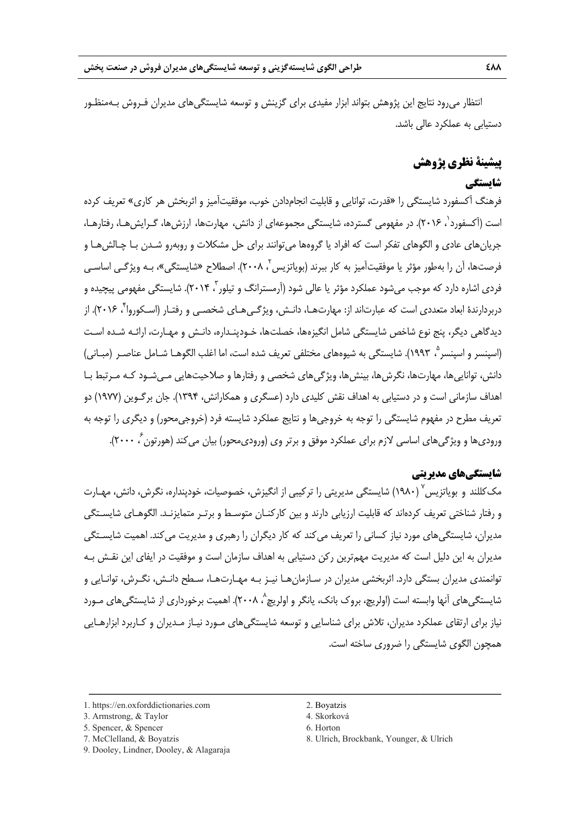انتظار ميرود نتايج اين پژوهش بتواند ابزار مفيدي براي گزينش و توسعه شايستگيهاي مديران فـروش بـهمنظـور دستيابي به عملكرد عالي باشد.

# **پيشينة نظري پژوهش**

# **شايستگي**

فرهنگ آكسفورد شايستگي را «قدرت، توانايي و قابليت انجامدادن خوب، موفقيتآميز و اثربخش هر كاري» تعريف كرده است (آكسفورد'، ۲۰۱۶). در مفهومي گسترده، شايستگي مجموعهاي از دانش، مهارتها، ارزشها، گـرايش هـا، رفتارهـا، جريانهاي عادي و الگوهاي تفكر است كه افراد يا گروهها ميتوانند براي حل مشكلات و روبهرو شـدن بـا چـالشهـا و فرصتها، آن را بهطور مؤثر يا موفقيتآميز به كار ببرند (بوياتزيس<sup>۲</sup>، ۲۰۰۸). اصطلاح «شايستگي»، بـه ويژگـي اساسـي فردی اشاره دارد که موجب میشود عملکرد مؤثر یا عالی شود (آرمسترانگ و تیلور <sup>۲</sup> ۲۰۱۴). شایستگی مفهومی پیچیده و دربردارندهٔ ابعاد متعددي است كه عبارتاند از: مهارتهـا، دانـش، ويژگـي هـاي شخصـي و رفتـار (اسـكوروا ٌ، ۲۰۱۶). از ديدگاهي ديگر، پنج نوع شاخص شايستگي شامل انگيزهها، خصلتها، خـودپنـداره، دانـش و مهـارت، ارائـه شـده اسـت (اسپنسر و اسپنسر °، ۱۹۹۳). شايستگي به شيوههاي مختلفي تعريف شده است، اما اغلب الگوهـا شـامل عناصـر (مبـاني) دانش، تواناييها، مهارتها، نگرشها، بينشها، ويژگيهاي شخصي و رفتارها و صلاحيتهايي مـيشـود كـه مـرتبط بـا اهداف سازماني است و در دستيابي به اهداف نقش كليدي دارد (عسگري و همكارانش، 1394). جان برگـوين (1977) دو تعريف مطرح در مفهوم شايستگي را توجه به خروجيها و نتايج عملكرد شايسته فرد (خروجيمحور) و ديگري را توجه به ورودىها و ويژگىهاى اساسى لازم براى عملكرد موفق و برتر وى (ورودىمحور) بيان مىكند (هورتون ً، ۲۰۰۰).

### **شايستگيهاي مديريتي**

مک کللند و بوياتزيس ( ۱۹۸۰) شايستگى مديريتى را تركيبى از انگيزش، خصوصيات، خودپنداره، نگرش، دانش، مهـارت و رفتار شناختى تعريف كردهاند كه قابليت ارزيابي دارند و بين كاركنـان متوسـط و برتـر متمايزنـد. الگوهـاي شايسـتگي مديران، شايستگيهاي مورد نياز كساني را تعريف ميكند كه كار ديگران را رهبري و مديريت ميكند. اهميت شايسـتگي مديران به اين دليل است كه مديريت مهمترين ركن دستيابي به اهداف سازمان است و موفقيت در ايفاي اين نقـش بـه توانمندي مديران بستگي دارد. اثربخشي مديران در سـازمانهـا نيـز بـه مهـارتهـا، سـطح دانـش، نگـرش، توانـايي و شايستگي@اي آنها وابسته است (اولريچ، بروک بانک، يانگر و اولريچ^، ٢٠٠٨). اهميت برخورداري از شايستگي@اي مـورد نياز براي ارتقاي عملكرد مديران، تلاش براي شناسايي و توسعه شايستگيهاي مـورد نيـاز مـديران و كـاربرد ابزارهـايي همچون الگوي شايستگي را ضروري ساخته است.

ــــــــــــــــــــــــــــــــــــــــــــــــــــــــــــــــــــــــــــــــــــــــــــــــــــــــــــــــــــــــــــــــــــ

1. https://en.oxforddictionaries.com 2. Boyatzis

- 
- 7. McClelland, & Boyatzis 8. Ulrich, Brockbank, Younger, & Ulrich

<sup>3.</sup> Armstrong, & Taylor 4. Skorková

<sup>5.</sup> Spencer, & Spencer 6. Horton

<sup>9.</sup> Dooley, Lindner, Dooley, & Alagaraja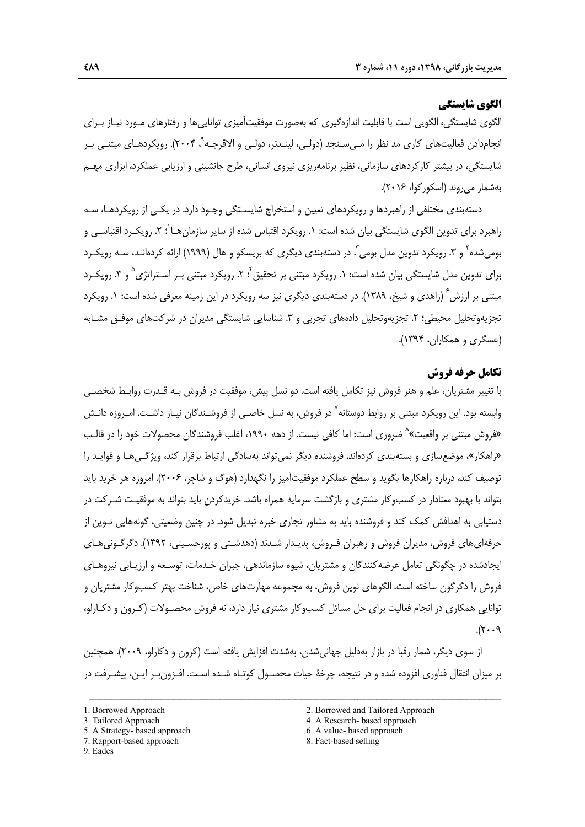# **الگوي شايستگي**

الگوي شايستگي، الگويي است با قابليت اندازهگيري كه بهصورت موفقيتآميزي تواناييها و رفتارهاي مـورد نيـاز بـراي نجامدادن فعاليتهاي كاري مد نظر را مـيسـنجد (دولـي، لينـدنر، دولـي و الاقرجـه`ْ، ۲۰۰۴). رويكردهـاي مبتنـي بـر شايستگي، در بيشتر كاركردهاي سازماني، نظير برنامهريزي نيروي انساني، طرح جانشيني و ارزيابي عملكرد، ابزاري مهـم بهشمار ميروند (اسكوركوا، 2016).

دستهبندي مختلفي از راهبردها و رويكردهاي تعيين و استخراج شايسـتگي وجـود دارد. در يكـي از رويكردهـا، سـه راهبرد براي تدوين الگوي شايستگي بيان شده است: ١. رويكرد اقتباس شده از ساير سازمان هـا`؛ ٢. رويكـرد اقتباسـي و بومیشده<sup>۲</sup> و ۳. رویکرد تدوین مدل بومی<sup>۳</sup>. در دستهبندی دیگری که بریسکو و هال (۱۹۹۹) ارائه کردهانـد، سـه رویکـرد براي تدوين مدل شايستگي بيان شده است: ١. رويكرد مبتني بر تحقيق ً: ٢. رويكرد مبتني بـر اسـتراتژي ٌ و ٣. رويكـرد مبتنی بر ارزش<sup>۶</sup> (زاهدی و شیخ، ۱۳۸۹). در دستهبندی دیگری نیز سه رویکرد در این زمینه معرفی شده است: ۱. رویکرد تجزيهوتحليل محيطي؛ ٢. تجزيهوتحليل دادههاي تجربي و ٣. شناسايي شايستگي مديران در شركتهاي موفـق مشـابه (عسگري و همكاران، 1394).

## **تكامل حرفه فروش**

با تغيير مشتريان، علم و هنر فروش نيز تكامل يافته است. دو نسل پيش، موفقيت در فروش بـه قـدرت روابـط شخصـي وابسته بود. اين رويكرد مبتني بر روابط دوستانه ْ در فروش، به نسل خاصـي از فروشـندگان نيـاز داشـت. امـروزه دانـش «فروش مبتنى بر واقعيت»<sup>۸</sup> ضرورى است؛ اما كافى نيست. از دهه ۱۹۹۰، اغلب فروشندگان محصولات خود را در قالـب «راهكار»، موضعسازي و بستهبندي كردهاند. فروشنده ديگر نميتواند بهسادگي ارتباط برقرار كند، ويژگـيهـا و فوايـد را توصيف كند، درباره راهكارها بگويد و سطح عملكرد موفقيتآميز را نگهدارد (هوگ و شاچر، 2006). امروزه هر خريد بايد بتواند با بهبود معنادار در كسبوكار مشتري و بازگشت سرمايه همراه باشد. خريدكردن بايد بتواند به موفقيـت شـركت در دستيابي به اهدافش كمك كند و فروشنده بايد به مشاور تجاري خبره تبديل شود. در چنين وضعيتي، گونههايي نـوين از حرفهايهاي فروش، مديران فروش و رهبران فـروش، پديـدار شـدند (دهدشـتي و پورحسـيني، 1392). دگرگـونيهـاي ايجادشده در چگونگي تعامل عرضهكنندگان و مشتريان، شيوه سازماندهي، جبران خـدمات، توسـعه و ارزيـابي نيروهـاي فروش را دگرگون ساخته است. الگوهاي نوين فروش، به مجموعه مهارتهاي خاص، شناخت بهتر كسبوكار مشتريان و توانايي همكاري در انجام فعاليت براي حل مسائل كسبوكار مشتري نياز دارد، نه فروش محصـولات (كـرون و دكـارلو،  $P \cdot \cdot \gamma$ .

از سوي ديگر، شمار رقبا در بازار بهدليل جهانيشدن، بهشدت افزايش يافته است (كرون و دكارلو، 2009). همچنين بر ميزان انتقال فناوري افزوده شده و در نتيجه، چرخة حيات محصـول كوتـاه شـده اسـت. افـزونبـر ايـن، پيشـرفت در

- 
- 7. Rapport-based approach 8. Fact-based selling
- 9. Eades
- 1. Borrowed Approach 2. Borrowed and Tailored Approach
- 3. Tailored Approach 4. A Research- based approach
- 5. A Strategy- based approach 6. A value- based approach
	-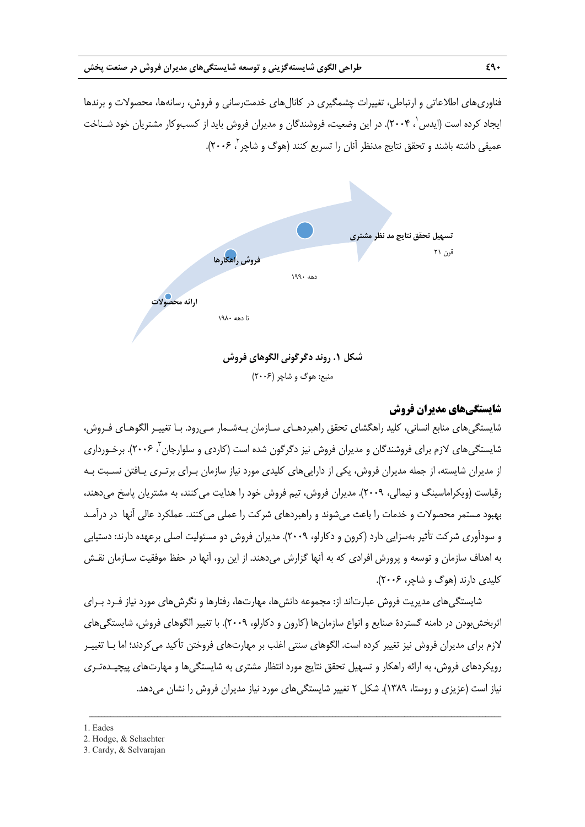فناوريهاي اطلاعاتي و ارتباطي، تغييرات چشمگيري در كانالهاي خدمترساني و فروش، رسانهها، محصولات و برندها ايجاد كرده است (ايدس`، ۲۰۰۴). در اين وضعيت، فروشندگان و مديران فروش بايد از كسبوكار مشتريان خود شـناخت عميقي داشته باشند و تحقق نتايج مدنظر آنان را تسريع كنند (هوگ و شاچر <sup>۲</sup> ۲۰۰۶).



منبع: هوگ و شاچر (2006)

# **شايستگيهاي مديران فروش**

شايستگيهاي منابع انساني، كليد راهگشاي تحقق راهبردهـاي سـازمان بـهشـمار مـيرود. بـا تغييـر الگوهـاي فـروش، شايستگي@اي لازم براي فروشندگان و مديران فروش نيز دگرگون شده است (كاردي و سلوارجان <sup>۳</sup> ۲۰۰۶). برخـورداري از مديران شايسته، از جمله مديران فروش، يكي از داراييهاي كليدي مورد نياز سازمان بـراي برتـري يـافتن نسـبت بـه رقباست (ويكراماسينگ و نيمالي، 2009). مديران فروش، تيم فروش خود را هدايت ميكنند، به مشتريان پاسخ ميدهند، بهبود مستمر محصولات و خدمات را باعث ميشوند و راهبردهاي شركت را عملي ميكنند. عملكرد عالي آنها در درآمـد و سودآوري شركت تأثير بهسزايي دارد (كرون و دكارلو، 2009). مديران فروش دو مسئوليت اصلي برعهده دارند: دستيابي به اهداف سازمان و توسعه و پرورش افرادي كه به آنها گزارش ميدهند. از اين رو، آنها در حفظ موفقيت سـازمان نقـش كليدي دارند (هوگ و شاچر، 2006).

شايستگيهاي مديريت فروش عبارتاند از: مجموعه دانشها، مهارتها، رفتارها و نگرشهاي مورد نياز فـرد بـراي اثربخشبودن در دامنه گستردة صنايع و انواع سازمانها (كارون و دكارلو، 2009). با تغيير الگوهاي فروش، شايستگيهاي لازم براي مديران فروش نيز تغيير كرده است. الگوهاي سنتي اغلب بر مهارتهاي فروختن تأكيد ميكردند؛ اما بـا تغييـر رويكردهاي فروش، به ارائه راهكار و تسهيل تحقق نتايج مورد انتظار مشتري به شايستگيها و مهارتهاي پيچيـدهتـري نياز است (عزيزي و روستا، 1389). شكل 2 تغيير شايستگيهاي مورد نياز مديران فروش را نشان ميدهد.

<sup>1.</sup> Eades

<sup>2.</sup> Hodge, & Schachter

<sup>3.</sup> Cardy, & Selvarajan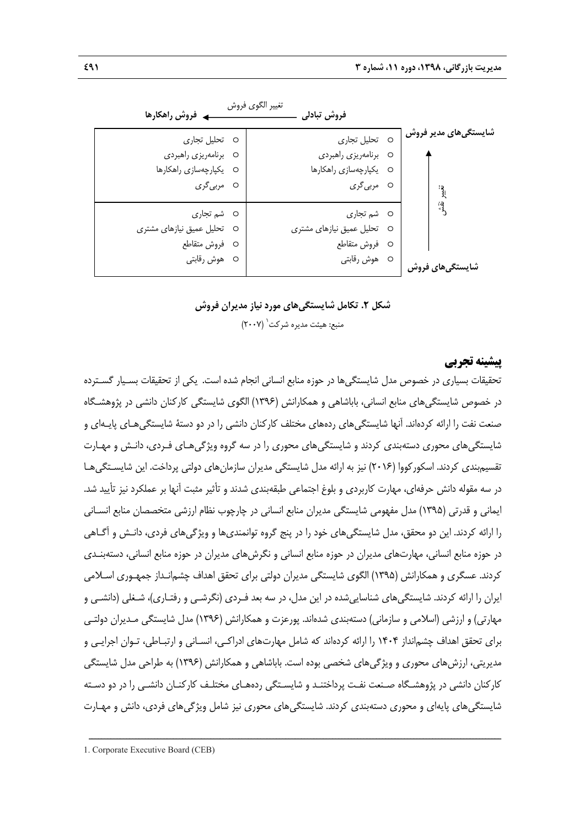| ۔ فروش راھکارھا            | تغيير الگوى فروش<br>فروش تبادلى |                      |
|----------------------------|---------------------------------|----------------------|
| O تحلیل تجاری              | O تحلیل تجاری                   | شایستگیهای مدیر فروش |
| O برنامهريزي راهبردي       | O برنامەريزى راھبردى            |                      |
| O يكپارچەسازى راھكارھا     | O يكپارچەسازى راھكارھا          |                      |
| O مرب <i>ی گ</i> ری        | ○ مرب <i>ی گ</i> ری             |                      |
| O شم تجاری                 | O شم تجاری                      | းဒ္ဒ                 |
| O تحلیل عمیق نیازهای مشتری | O تحلیل عمیق نیازهای مشتری      |                      |
| O فروش متقاطع              | O فروش متقاطع                   |                      |
| O هوش رقابتی               | O هوش رقابتى                    | شایستگیهای فروش      |

**شكل .2 تكامل شايستگيهاي مورد نياز مديران فروش**  منبع: هيئت مديره شركت (٢٠٠٧)

## **پيشينه تجربي**

تحقيقات بسياري در خصوص مدل شايستگيها در حوزه منابع انساني انجام شده است. يكي از تحقيقات بسـيار گسـترده در خصوص شايستگيهاي منابع انساني، باباشاهي و همكارانش (1396) الگوي شايستگي كاركنان دانشي در پژوهشـگاه صنعت نفت را ارائه كرده اند. آنها شايستگيهاي ردههاي مختلف كاركنان دانشي را در دو دستة شايستگيهـاي پايـهاي و شايستگيهاي محوري دستهبندي كردند و شايستگيهاي محوري را در سه گروه ويژگيهـاي فـردي، دانـش و مهـارت تقسيمبندي كردند. اسكوركووا (2016) نيز به ارائه مدل شايستگي مديران سازمانهاي دولتي پرداخت. اين شايسـتگيهـا در سه مقوله دانش حرفهاي، مهارت كاربردي و بلوغ اجتماعي طبقهبندي شدند و تأثير مثبت آنها بر عملكرد نيز تأييد شد. ايماني و قدرتي (1395) مدل مفهومي شايستگي مديران منابع انساني در چارچوب نظام ارزشي متخصصان منابع انسـاني را ارائه كردند. اين دو محقق، مدل شايستگيهاي خود را در پنج گروه توانمنديها و ويژگيهاي فردي، دانـش و آگـاهي در حوزه منابع انساني، مهارتهاي مديران در حوزه منابع انساني و نگرشهاي مديران در حوزه منابع انساني، دستهبنـدي كردند. عسگري و همكارانش (1395) الگوي شايستگي مديران دولتي براي تحقق اهداف چشمانـداز جمهـوري اسـلامي ايران را ارائه كردند. شايستگيهاي شناساييشده در اين مدل، در سه بعد فـردي (نگرشـي و رفتـاري)، شـغلي (دانشـي و مهارتي) و ارزشي (اسلامي و سازماني) دستهبندي شدهاند. پورعزت و همكارانش (1396) مدل شايستگي مـديران دولتـي براي تحقق اهداف چشمانداز 1404 را ارائه كردهاند كه شامل مهارتهاي ادراكـي، انسـاني و ارتبـاطي، تـوان اجرايـي و مديريتي، ارزشهاي محوري و ويژگيهاي شخصي بوده است. باباشاهي و همكارانش (1396) به طراحي مدل شايستگي كاركنان دانشي در پژوهشـگاه صـنعت نفـت پرداختنـد و شايسـتگي ردههـاي مختلـف كاركنـان دانشـي را در دو دسـته شايستگيهاي پايهاي و محوري دستهبندي كردند. شايستگيهاي محوري نيز شامل ويژگيهاي فردي، دانش و مهـارت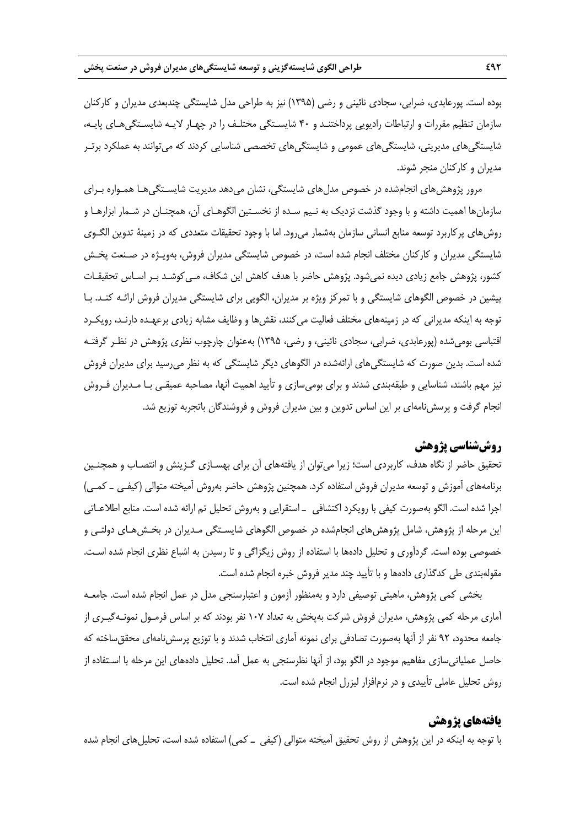بوده است. پورعابدي، ضرابي، سجادي نائيني و رضي (1395) نيز به طراحي مدل شايستگي چندبعدي مديران و كاركنان سازمان تنظيم مقررات و ارتباطات راديويي پرداختنـد و 40 شايسـتگي مختلـف را در چهـار لايـه شايسـتگيهـاي پايـه، شايستگيهاي مديريتي، شايستگيهاي عمومي و شايستگيهاي تخصصي شناسايي كردند كه ميتوانند به عملكرد برتـر مديران و كاركنان منجر شوند.

مرور پژوهش هاي انجامشده در خصوص مدل هاي شايستگي، نشان مي دهد مديريت شايسـتگي هـا همـواره بـراي سازمانها اهميت داشته و با وجود گذشت نزديك به نـيم سـده از نخسـتين الگوهـاي آن، همچنـان در شـمار ابزارهـا و روشهاي پركاربرد توسعه منابع انساني سازمان بهشمار ميرود. اما با وجود تحقيقات متعددي كه در زمينة تدوين الگـوي شايستگي مديران و كاركنان مختلف انجام شده است، در خصوص شايستگي مديران فروش، بهويـژه در صـنعت پخـش كشور، پژوهش جامع زيادي ديده نمي شود. پژوهش حاضر با هدف كاهش اين شكاف، مـي كوشـد بـر اسـاس تحقيقـات پيشين در خصوص الگوهاي شايستگي و با تمركز ويژه بر مديران، الگويي براي شايستگي مديران فروش ارائـه كنـد. بـا توجه به اينكه مديراني كه در زمينههاي مختلف فعاليت مي كنند، نقش ها و وظايف مشابه زيادي برعهـده دارنـد، رويكـرد اقتباسي بوميشده (پورعابدي، ضرابي، سجادي نائيني، و رضي، 1395) بهعنوان چارچوب نظري پژوهش در نظـر گرفتـه شده است. بدين صورت كه شايستگيهاي ارائهشده در الگوهاي ديگر شايستگي كه به نظر ميرسيد براي مديران فروش نيز مهم باشند، شناسايي و طبقهبندي شدند و براي بوميسازي و تأييد اهميت آنها، مصاحبه عميقـي بـا مـديران فـروش انجام گرفت و پرسشنامهاي بر اين اساس تدوين و بين مديران فروش و فروشندگان باتجربه توزيع شد.

# **روششناسي پژوهش**

تحقيق حاضر از نگاه هدف، كاربردي است؛ زيرا ميتوان از يافتههاي آن براي بهسـازي گـزينش و انتصـاب و همچنـين برنامههاي آموزش و توسعه مديران فروش استفاده كرد. همچنين پژوهش حاضر بهروش آميخته متوالي (كيفـي ـ كمـي) اجرا شده است. الگو بهصورت كيفي با رويكرد اكتشافي ـ استقرايي و بهروش تحليل تم ارائه شده است. منابع اطلاعـاتي اين مرحله از پژوهش، شامل پژوهشهاي انجامشده در خصوص الگوهاي شايسـتگي مـديران در بخـشهـاي دولتـي و خصوصي بوده است. گردآوري و تحليل دادهها با استفاده از روش زيگزاگي و تا رسيدن به اشباع نظري انجام شده اسـت. مقولهبندي طي كدگذاري دادهها و با تأييد چند مدير فروش خبره انجام شده است.

بخشي كمي پژوهش، ماهيتي توصيفي دارد و بهمنظور آزمون و اعتبارسنجي مدل در عمل انجام شده است. جامعـه آماري مرحله كمي پژوهش، مديران فروش شركت بهپخش به تعداد 107 نفر بودند كه بر اساس فرمـول نمونـهگيـري از جامعه محدود، 92 نفر از آنها بهصورت تصادفي براي نمونه آماري انتخاب شدند و با توزيع پرسشنامهاي محققساخته كه حاصل عملياتيسازي مفاهيم موجود در الگو بود، از آنها نظرسنجي به عمل آمد. تحليل دادههاي اين مرحله با اسـتفاده از روش تحليل عاملي تأييدي و در نرمافزار ليزرل انجام شده است.

### **يافتههاي پژوهش**

با توجه به اينكه در اين پژوهش از روش تحقيق آميخته متوالي (كيفي ـ كمي) استفاده شده است، تحليلهاي انجام شده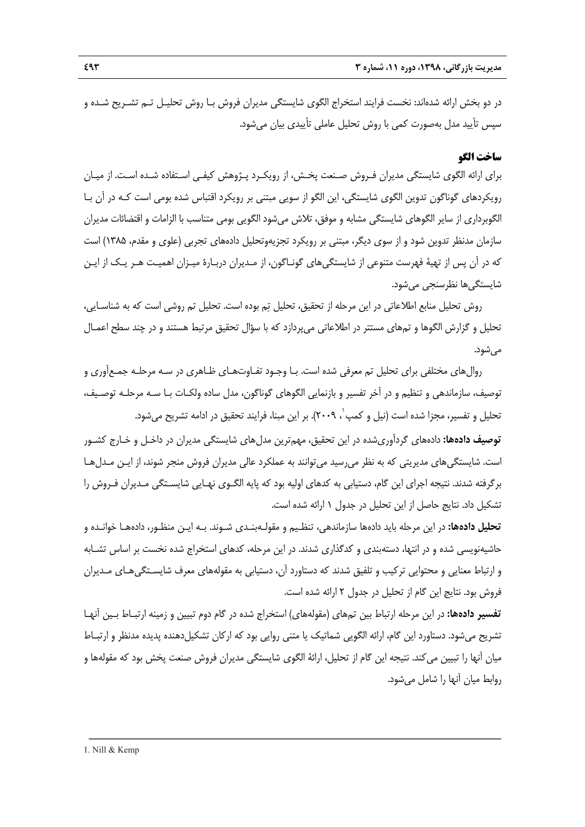در دو بخش ارائه شدهاند: نخست فرايند استخراج الگوي شايستگي مديران فروش بـا روش تحليـل تـم تشـريح شـده و سپس تأييد مدل بهصورت كمي با روش تحليل عاملي تأييدي بيان ميشود.

## **ساخت الگو**

براي ارائه الگوي شايستگي مديران فـروش صـنعت پخـش، از رويكـرد پـژوهش كيفـي اسـتفاده شـده اسـت. از ميـان رويكردهاي گوناگون تدوين الگوي شايستگي، اين الگو از سويي مبتني بر رويكرد اقتباس شده بومي است كـه در آن بـا الگوبرداري از ساير الگوهاي شايستگي مشابه و موفق، تلاش ميشود الگويي بومي متناسب با الزامات و اقتضائات مديران سازمان مدنظر تدوين شود و از سوي ديگر، مبتني بر رويكرد تجزيهوتحليل دادههاي تجربي (علوي و مقدم، 1385) است كه در آن پس از تهية فهرست متنوعي از شايستگيهاي گونـاگون، از مـديران دربـارة ميـزان اهميـت هـر يـك از ايـن شايستگيها نظرسنجي ميشود.

روش تحليل منابع اطلاعاتي در اين مرحله از تحقيق، تحليل تم بوده است. تحليل تم روشي است كه به شناسـايي، تحليل و گزارش الگوها و تمهاي مستتر در اطلاعاتي ميپردازد كه با سؤال تحقيق مرتبط هستند و در چند سطح اعمـال ميشود.

روالهاي مختلفي براي تحليل تم معرفي شده است. بـا وجـود تفـاوتهـاي ظـاهري در سـه مرحلـه جمـعآوري و توصيف، سازماندهي و تنظيم و در آخر تفسير و بازنمايي الگوهاي گوناگون، مدل ساده ولكـات بـا سـه مرحلـه توصـيف، تحليل و تفسير، مجزا شده است (نيل و كمپ٬ ٢٠٠٩). بر اين مبنا، فرايند تحقيق در ادامه تشريح مي شود.

**توصيف دادهها:** دادههاي گردآوريشده در اين تحقيق، مهمترين مدلهاي شايستگي مديران در داخـل و خـارج كشـور است. شايستگيهاي مديريتي كه به نظر ميرسيد ميتوانند به عملكرد عالي مديران فروش منجر شوند، از ايـن مـدلهـا برگرفته شدند. نتيجه اجراي اين گام، دستيابي به كدهاي اوليه بود كه پايه الگـوي نهـايي شايسـتگي مـديران فـروش را تشكيل داد. نتايج حاصل از اين تحليل در جدول 1 ارائه شده است.

**تحليل دادهها:** در اين مرحله بايد دادهها سازماندهي، تنظـيم و مقولـهبنـدي شـوند. بـه ايـن منظـور، دادههـا خوانـده و حاشيهنويسي شده و در انتها، دستهبندي و كدگذاري شدند. در اين مرحله، كدهاي استخراج شده نخست بر اساس تشـابه و ارتباط معنايي و محتوايي تركيب و تلفيق شدند كه دستاورد آن، دستيابي به مقولههاي معرف شايسـتگيهـاي مـديران فروش بود. نتايج اين گام از تحليل در جدول 2 ارائه شده است.

**تفسير دادهها:** در اين مرحله ارتباط بين تمهاي (مقولههاي) استخراج شده در گام دوم تبيين و زمينه ارتبـاط بـين آنهـا تشريح ميشود. دستاورد اين گام، ارائه الگويي شماتيك يا متني روايي بود كه اركان تشكيلدهنده پديده مدنظر و ارتبـاط ميان آنها را تبيين ميكند. نتيجه اين گام از تحليل، ارائة الگوي شايستگي مديران فروش صنعت پخش بود كه مقولهها و روابط ميان آنها را شامل ميشود.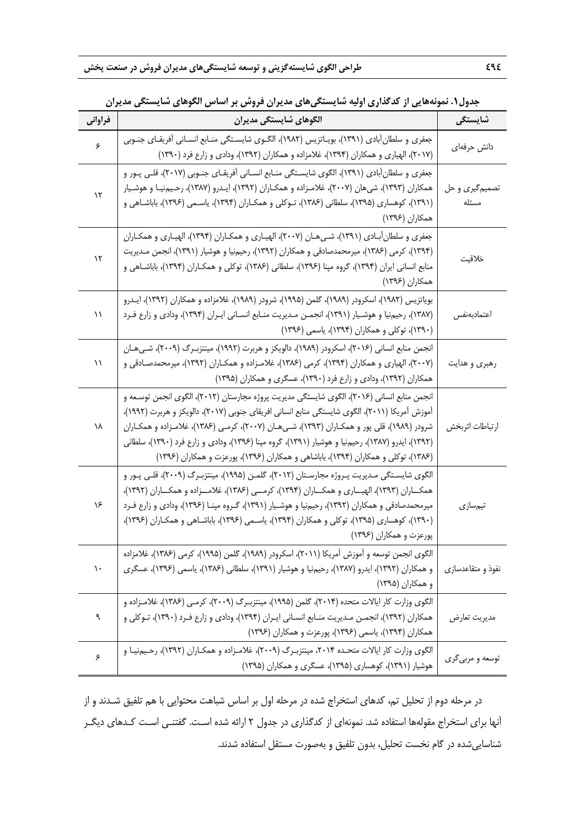| فراواني                 | جنون ، . متوقعت یی از کتابخاری اولیه سایستانی تک یزاران کروش بر است ش الخوشی سایستانی شایران<br>الگوهای شایستگی مدیران                                                                                                                                                                                                                                                                                                                                                                 | شايستگى                  |
|-------------------------|----------------------------------------------------------------------------------------------------------------------------------------------------------------------------------------------------------------------------------------------------------------------------------------------------------------------------------------------------------------------------------------------------------------------------------------------------------------------------------------|--------------------------|
| ۶                       | جعفری و سلطان[بادی (۱۳۹۱)، بویـاتزیس (۱۹۸۲)، الگــوی شایســتگی منــابع انســانی أفریقــای جنــوبی<br>(۲۰۱۷)، الهیاری و همکاران (۱۳۹۴)، غلامزاده و همکاران (۱۳۹۲)، ودادی و زارع فرد (۱۳۹۰)                                                                                                                                                                                                                                                                                              | دانش حرفهای              |
| $\backslash \mathbf{Y}$ | جعفری و سلطانآبادی (۱۳۹۱)، الگوی شایسـتگی منـابع انسـانی آفریقـای جنـوبی (۲۰۱۷)، قلـی پـور و<br>همکاران (۱۳۹۳)، شیهان (۲۰۰۷)، غلامـزاده و همکـاران (۱۳۹۲)، ایـدرو (۱۳۸۷)، رحـیمنیـا و هوشـیار<br>(۱۳۹۱)، کوهساری (۱۳۹۵)، سلطانی (۱۳۸۶)، تـوکلی و همکــاران (۱۳۹۴)، یاســمی (۱۳۹۶)، باباشــاهی و<br>همکاران (۱۳۹۶)                                                                                                                                                                      | تصمیم گیری و حل<br>مسئله |
| ۱۲                      | جعفری و سلطانأبـادی (۱۳۹۱)، شـی.هـان (۲۰۰۷)، الهیـاری و همکـاران (۱۳۹۴)، الهیـاری و همکـاران<br>(۱۳۹۴)، کرمی (۱۳۸۶)، میرمحمدصادقی و همکاران (۱۳۹۲)، رحیمنیا و هوشیار (۱۳۹۱)، انجمن مـدیریت<br>منابع انسانی ایران (۱۳۹۴)، گروه مپنا (۱۳۹۶)، سلطانی (۱۳۸۶)، توکلی و همکـاران (۱۳۹۴)، باباشـاهی و<br>همكاران (۱۳۹۶)                                                                                                                                                                       | خلاقيت                   |
| ۱۱                      | بویاتزیس (۱۹۸۲)، اسکرودر (۱۹۸۹)، گلمن (۱۹۹۵)، شرودر (۱۹۸۹)، غلامزاده و همکاران (۱۳۹۲)، ایــدرو<br>(۱۳۸۷)، رحیمنیا و هوشـیار (۱۳۹۱)، انجمـن مـدیریت منـابع انسـانی ایـران (۱۳۹۴)، ودادی و زارع فـرد<br>(۱۳۹۰)، توکلی و همکاران (۱۳۹۴)، یاسمی (۱۳۹۶)                                                                                                                                                                                                                                     | اعتمادبهنفس              |
| ۱۱                      | انجمن منابع انسانی (۲۰۱۶)، اسکرودر (۱۹۸۹)، دالویکز و هربرت (۱۹۹۲)، مینتزبـرگ (۲۰۰۹)، شـی.هـان<br>(۲۰۰۷)، الهیاری و همکاران (۱۳۹۴)، کرمی (۱۳۸۶)، غلامـزاده و همکــاران (۱۳۹۲)، میرمحمدصـادقی و<br>همکاران (۱۳۹۲)، ودادی و زارع فرد (۱۳۹۰)، عسگری و همکاران (۱۳۹۵)                                                                                                                                                                                                                       | رهبری و هدایت            |
| ۱۸                      | انجمن منابع انسانی (۲۰۱۶)، الگوی شایستگی مدیریت پروژه مجارستان (۲۰۱۲)، الگوی انجمن توسـعه و<br>آموزش آمریکا (۲۰۱۱)، الگوی شایستگی منابع انسانی افریقای جنوبی (۲۰۱۷)، دالویکز و هربرت (۱۹۹۲)،<br>شرودر (۱۹۸۹)، قلی پور و همکـاران (۱۳۹۳)، شـی.طـان (۲۰۰۷)، کرمـی (۱۳۸۶)، غلامـزاده و همکـاران<br>(۱۳۹۲)، ایدرو (۱۳۸۷)، رحیم:یا و هوشیار (۱۳۹۱)، گروه مپنا (۱۳۹۶)، ودادی و زارع فرد (۱۳۹۰)، سلطانی<br>(۱۳۸۶)، توکلی و همکاران (۱۳۹۴)، باباشاهی و همکاران (۱۳۹۶)، پورعزت و همکاران (۱۳۹۶) | ارتباطات اثربخش          |
| ۱۶                      | الگوی شایسـتگی مـدیریت پـروژه مجارسـتان (۲۰۱۲)، گلمـن (۱۹۹۵)، مینتزبـرگ (۲۰۰۹)، قلـی پـور و<br>همکـــاران (۱۳۹۳)، الهیــــاری و همکـــاران (۱۳۹۴)، کرمـــی (۱۳۸۶)، غلامـــزاده و همکـــاران (۱۳۹۲)،<br>میرمحمدصادقی و همکاران (۱۳۹۲)، رحیمنیا و هوشـیار (۱۳۹۱)، گـروه مپنـا (۱۳۹۶)، ودادی و زارع فـرد<br>(۱۳۹۰)، کوهساری (۱۳۹۵)، توکلی و همکاران (۱۳۹۴)، یاسـمی (۱۳۹۶)، باباشـاهی و همکـاران (۱۳۹۶)،<br>پورعزت و همکاران (۱۳۹۶)                                                        | تيمسازى                  |
| $\mathcal{L}$           | الگوی انجمن توسعه و آموزش آمریکا (۲۰۱۱)، اسکرودر (۱۹۸۹)، گلمن (۱۹۹۵)، کرمی (۱۳۸۶)، غلامزاده<br>و همکاران (۱۳۹۲)، ایدرو (۱۳۸۷)، رحیمنیا و هوشیار (۱۳۹۱)، سلطانی (۱۳۸۶)، یاسمی (۱۳۹۶)، عسگری<br>و همکاران (۱۳۹۵)                                                                                                                                                                                                                                                                         | نفوذ و متقاعدسازی        |
| ٩                       | الگوی وزارت کار ایالات متحده (۲۰۱۴)، گلمن (۱۹۹۵)، مینتزبـرگ (۲۰۰۹)، کرمـی (۱۳۸۶)، غلامـزاده و<br>همکاران (۱۳۹۲)، انجمـن مـدیریت منـابع انسـانی ایـران (۱۳۹۴)، ودادی و زارع فـرد (۱۳۹۰)، تـوکلی و<br>همکاران (۱۳۹۴)، یاسمی (۱۳۹۶)، پورعزت و همکاران (۱۳۹۶)                                                                                                                                                                                                                              | مديريت تعارض             |
| ۶                       | الگوی وزارت کار ایالات متحـده ۲۰۱۴، مینتزبـرگ (۲۰۰۹)، غلامـزاده و همکـاران (۱۳۹۲)، رحـیمنیـا و<br>هوشیار (۱۳۹۱)، کوهساری (۱۳۹۵)، عسگری و همکاران (۱۳۹۵)                                                                                                                                                                                                                                                                                                                                | توسعه و مربیگری          |

**جدول.1 نمونههايي از كدگذاري اوليه شايستگيهاي مديران فروش بر اساس الگوهاي شايستگي مديران** 

در مرحله دوم از تحليل تم، كدهاي استخراج شده در مرحله اول بر اساس شباهت محتوايي با هم تلفيق شـدند و از آنها براي استخراج مقولهها استفاده شد. نمونهاي از كدگذاري در جدول 2 ارائه شده اسـت. گفتنـي اسـت كـدهاي ديگـر شناساييشده در گام نخست تحليل، بدون تلفيق و بهصورت مستقل استفاده شدند.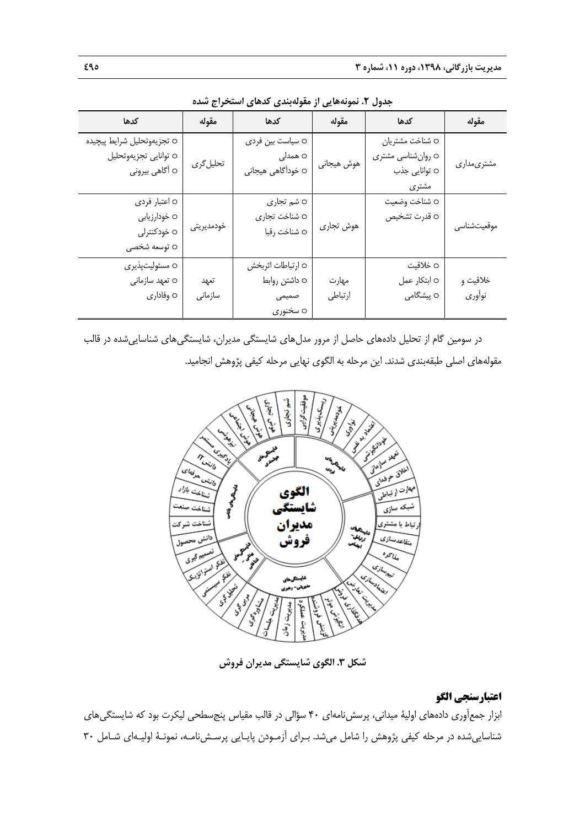| كدها                       | مقوله      | كدها              | مقوله      | كدها              | مقوله       |
|----------------------------|------------|-------------------|------------|-------------------|-------------|
| o تجزيەوتحليل شرايط پيچيده |            | 0 سياست بين فردى  |            | 0 شناخت مشتريان   |             |
| 0 توانايي تجزيهوتحليل      | تحلیل گری  | o ھمدل <i>ی</i>   |            | ○ روانشناسي مشتري | مشترىمدارى  |
| 0 أگاهي بيروني             |            | 0 خودآگاهی هیجانی | هوش هيجانى | 0 توانایی جذب     |             |
|                            |            |                   |            | مشترى             |             |
| 0 اعتبار فردي              |            | ○ شم تجاري        |            | 0 شناخت وضعيت     |             |
| 0 خودارزيابي               |            | 0 شناخت تجارى     |            | 0 قدرت تشخيص      |             |
| ○ خودکنترلی                | خودمديريتى | ○ شناخت رقبا      | هوش تجارى  |                   | موقعيتشناسي |
| 0 توسعه شخصی               |            |                   |            |                   |             |
| 0 مسئوليتپذير <i>ى</i>     |            | 0 ارتباطات اثربخش |            | ○ خلاقيت          |             |
| 0 تعهد سازمانى             | تعهد       | ○ داشتن روابط     | مهارت      | ○ ابتكار عمل      | خلاقيت و    |
| 0 وفاداري                  | سازمانى    | صمیمی             | ارتباطي    | o پیشگام <i>ی</i> | نوأوري      |
|                            |            | ○ سخنوري          |            |                   |             |

**جدول .2 نمونههايي از مقولهبندي كدهاي استخراج شده** 

در سومين گام از تحليل دادههاي حاصل از مرور مدلهاي شايستگي مديران، شايستگيهاي شناساييشده در قالب مقولههاي اصلي طبقهبندي شدند. اين مرحله به الگوي نهايي مرحله كيفي پژوهش انجاميد.



**شكل .3 الگوي شايستگي مديران فروش** 

## **اعتبارسنجي الگو**

ابزار جمعآوري دادههاي اولية ميداني، پرسشنامهاي 40 سؤالي در قالب مقياس پنجسطحي ليكرت بود كه شايستگيهاي شناساييشده در مرحله كيفي پژوهش را شامل ميشد. بـراي آزمـودن پايـايي پرسـشنامـه، نمونـة اوليـهاي شـامل 30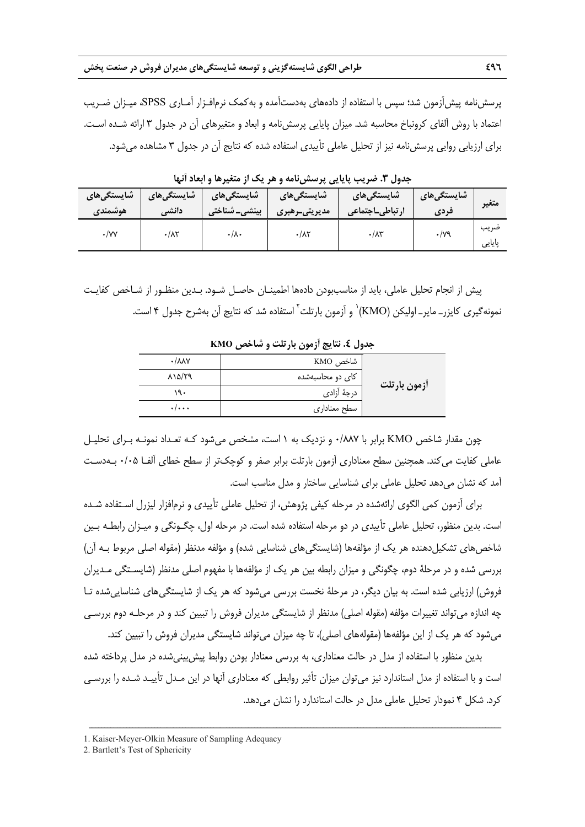پرسشنامه پيشآزمون شد؛ سپس با استفاده از دادههاي بهدستآمده و بهكمك نرمافـزار آمـاري SPSS، ميـزان ضـريب اعتماد با روش آلفاي كرونباخ محاسبه شد. ميزان پايايي پرسشنامه و ابعاد و متغيرهاي آن در جدول 3 ارائه شـده اسـت. براي ارزيابي روايي پرسشنامه نيز از تحليل عاملي تأييدي استفاده شده كه نتايج آن در جدول 3 مشاهده ميشود.

| شایستگ <i>ی</i> های | شایستگ <i>ی</i> های | شایستگ <i>ی</i> های      | شایستگی <b>های</b>  | ِ شایستگ <i>ی</i> های | شايستگىھا <i>ى</i> | متغير          |
|---------------------|---------------------|--------------------------|---------------------|-----------------------|--------------------|----------------|
| هوشمندى             | دانشي               | ِ بینش <i>ی</i> _ شناختی | مديريتىـرهبرى       | رتباطي_اجتماعي        | فردى               |                |
| $\cdot$ /YY         | $\cdot/\lambda\tau$ | ۰٬۸۰                     | $\cdot/\lambda\tau$ | $\cdot/\lambda$ ۳     | $\cdot$ /79        | ضريب<br>پایایی |

**جدول .3 ضريب پايايي پرسشنامه و هر يك از متغيرها و ابعاد آنها** 

پيش از انجام تحليل عاملي، بايد از مناسببودن دادهها اطمينـان حاصـل شـود. بـدين منظـور از شـاخص كفايـت نمونهگيرى كايزر\_ ماير\_ اوليكن (KMO)٬ و آزمون بارتلت<sup>۲</sup> استفاده شد كه نتايج آن بهشرح جدول ۴ است.

**آزمون بارتلت**  شاخص KMO 0/887 كاي دو محاسبهشده 815/29 درجة آزادي 190 سطح معناداري 0/000

**جدول .4 نتايج آزمون بارتلت و شاخص KMO** 

چون مقدار شاخص KMO برابر با 0/887 و نزديك به 1 است، مشخص ميشود كـه تعـداد نمونـه بـراي تحليـل عاملي كفايت ميكند. همچنين سطح معناداري آزمون بارتلت برابر صفر و كوچكتر از سطح خطاي آلفـا 0/05 بـهدسـت آمد كه نشان ميدهد تحليل عاملي براي شناسايي ساختار و مدل مناسب است.

براي آزمون كمي الگوي ارائهشده در مرحله كيفي پژوهش، از تحليل عاملي تأييدي و نرمافزار ليزرل اسـتفاده شـده است. بدين منظور، تحليل عاملي تأييدي در دو مرحله استفاده شده است. در مرحله اول، چگـونگي و ميـزان رابطـه بـين شاخصهاي تشكيلدهنده هر يك از مؤلفهها (شايستگيهاي شناسايي شده) و مؤلفه مدنظر (مقوله اصلي مربوط بـه آن) بررسي شده و در مرحلة دوم، چگونگي و ميزان رابطه بين هر يك از مؤلفهها با مفهوم اصلي مدنظر (شايسـتگي مـديران فروش) ارزيابي شده است. به بيان ديگر، در مرحلة نخست بررسي ميشود كه هر يك از شايستگيهاي شناساييشده تـا چه اندازه ميتواند تغييرات مؤلفه (مقوله اصلي) مدنظر از شايستگي مديران فروش را تبيين كند و در مرحلـه دوم بررسـي ميشود كه هر يك از اين مؤلفهها (مقولههاي اصلي)، تا چه ميزان ميتواند شايستگي مديران فروش را تبيين كند.

بدين منظور با استفاده از مدل در حالت معناداري، به بررسي معنادار بودن روابط پيشبينيشده در مدل پرداخته شده است و با استفاده از مدل استاندارد نيز ميتوان ميزان تأثير روابطي كه معناداري آنها در اين مـدل تأييـد شـده را بررسـي كرد. شكل 4 نمودار تحليل عاملي مدل در حالت استاندارد را نشان ميدهد.

<sup>1.</sup> Kaiser-Meyer-Olkin Measure of Sampling Adequacy

<sup>2.</sup> Bartlett's Test of Sphericity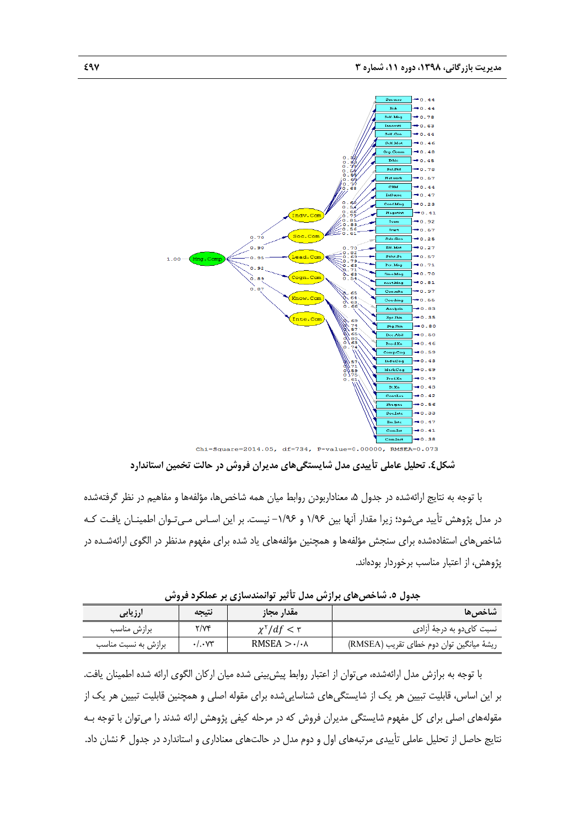

**شكل.4 تحليل عاملي تأييدي مدل شايستگيهاي مديران فروش در حالت تخمين استاندارد** 

با توجه به نتايج ارائهشده در جدول ۵، معناداربودن روابط ميان همه شاخصها، مؤلفهها و مفاهيم در نظر گرفتهشده در مدل پژوهش تأييد ميشود؛ زيرا مقدار آنها بين 1/96 و -1/96 نيست. بر اين اسـاس مـيتـوان اطمينـان يافـت كـه شاخصهاي استفادهشده براي سنجش مؤلفهها و همچنين مؤلفههاي ياد شده براي مفهوم مدنظر در الگوي ارائهشـده در پژوهش، از اعتبار مناسب برخوردار بودهاند.

| بجنون منتقبة حتى جزارتين شنق بالقرار المستقبلات بالراحمة الروائل |                           |                                      |                                          |  |  |  |
|------------------------------------------------------------------|---------------------------|--------------------------------------|------------------------------------------|--|--|--|
| <b>ارزیابی</b>                                                   | نتىحە                     | مقدار مجاز                           | شاخص ها                                  |  |  |  |
| برازش مناسب                                                      | Y/Yf                      | $\chi^{\dagger}/df < r$              | نسبت کای دو به درجهٔ آزادی               |  |  |  |
| برازش به نسبت مناسب                                              | $\cdot$ /. $\vee\uparrow$ | RMSEA $>$ $\cdot$ / $\cdot$ $\wedge$ | ريشة ميانكين توان دوم خطاى تقريب (RMSEA) |  |  |  |

**جدول .5 شاخصهاي برازش مدل تأثير توانمندسازي بر عملكرد فروش** 

با توجه به برازش مدل ارائهشده، ميتوان از اعتبار روابط پيشبيني شده ميان اركان الگوي ارائه شده اطمينان يافت. بر اين اساس، قابليت تبيين هر يك از شايستگيهاي شناساييشده براي مقوله اصلي و همچنين قابليت تبيين هر يك از مقولههاي اصلي براي كل مفهوم شايستگي مديران فروش كه در مرحله كيفي پژوهش ارائه شدند را ميتوان با توجه بـه نتايج حاصل از تحليل عاملي تأييدي مرتبههاي اول و دوم مدل در حالتهاي معناداري و استاندارد در جدول 6 نشان داد.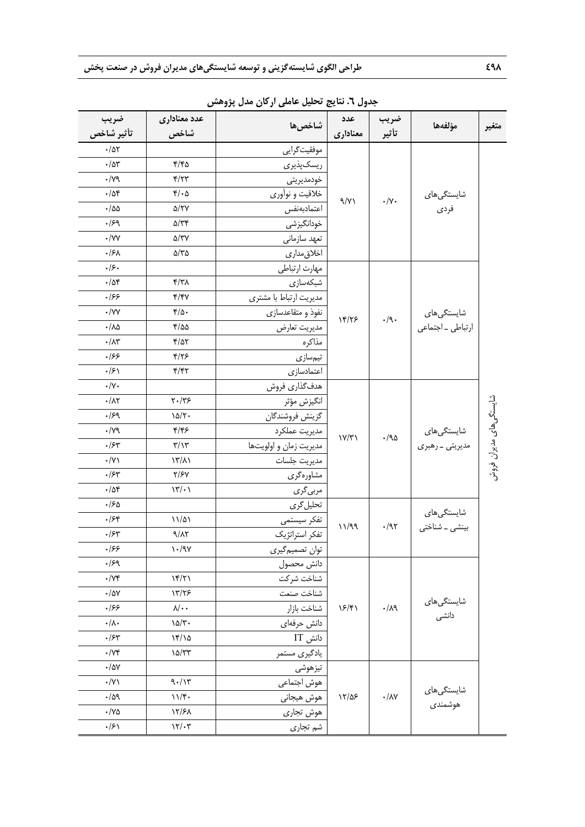| ضريب<br>تأثير شاخص      | عدد معناداری<br>شاخص                    | شاخصها                 | عدد<br>معناداري | ضريب<br>تأثير                                   | مؤلفهها                                        | متغير                   |
|-------------------------|-----------------------------------------|------------------------|-----------------|-------------------------------------------------|------------------------------------------------|-------------------------|
| $\cdot/\Delta\Upsilon$  |                                         | موفقيتگرايي            |                 |                                                 |                                                |                         |
| $\cdot/\Delta r$        | 4/40                                    | ريسكپذيري              |                 |                                                 |                                                |                         |
| $\cdot/\gamma$ ٩        | $\mathfrak{f}/\mathfrak{f}\mathfrak{r}$ | خودمديريتي             |                 |                                                 |                                                |                         |
| $\cdot/\Delta f$        | $\mathfrak{r}/\cdot\Delta$              | خلاقیت و نوآوری        |                 | $\boldsymbol{\cdot}/\Upsilon\boldsymbol{\cdot}$ | شایستگی۵ای<br>فردى                             |                         |
| $\cdot$ /55             | ۵/۲۷                                    | اعتمادبهنفس            | 9/11            |                                                 |                                                |                         |
| $\cdot$ /۶۹             | $\Delta/\tau$ ۴                         | خودانگیزشی             |                 |                                                 |                                                |                         |
| $\cdot$ /YY             | $\Delta/\Upsilon\Upsilon$               | تعهد سازماني           |                 |                                                 |                                                |                         |
| .15 <sub>A</sub>        | ۵/۳۵                                    | اخلاق مدارى            |                 |                                                 |                                                |                         |
| .49.                    |                                         | مهارت ارتباطي          |                 |                                                 |                                                |                         |
| $\cdot/\Delta f$        | $\mathcal{M}/\mathcal{T}$               | شبكەسازى               |                 |                                                 |                                                |                         |
| .199                    | $\mathcal{F}/\mathcal{F}V$              | مديريت ارتباط با مشترى |                 |                                                 |                                                | شایستگی های مدیران فروش |
| $\cdot$ /YY             | $r/\Delta$ .                            | نفوذ و متقاعدسازى      | 14/75           | $\cdot/\mathfrak{q}\, .$                        | شایستگ <i>ی</i> ها <i>ی</i>                    |                         |
| $\cdot/\lambda\Delta$   | 4/20                                    | مديريت تعارض           |                 |                                                 | ارتباطي _ اجتماعي                              |                         |
| $\cdot/\Lambda$ ۳       | $\frac{1}{2}$                           | مذاكره                 |                 |                                                 |                                                |                         |
| .199                    | $\frac{1}{2}$                           | تيمسازي                |                 |                                                 |                                                |                         |
| $\cdot$ /۶۱             | ۴/۴۲                                    | اعتمادسازى             |                 |                                                 |                                                |                         |
| $\cdot/\gamma$ .        |                                         | هدف گذاري فروش         |                 |                                                 | شایستگ <i>ی</i> ها <i>ی</i><br>مدیریتی ـ رهبری |                         |
| $\cdot/\lambda\Upsilon$ | $Y \cdot / Y$ ۶                         | انگيزش مؤثر            |                 |                                                 |                                                |                         |
| .159                    | 10/7                                    | گزينش فروشندگان        |                 | $\cdot$ /90                                     |                                                |                         |
| $\cdot/\gamma$ ٩        | f/f                                     | مديريت عملكرد          |                 |                                                 |                                                |                         |
| $\cdot$ /۶۳             | $\frac{1}{2}$                           | مديريت زمان و اولويتها | Y/Y             |                                                 |                                                |                         |
| $\cdot/\Upsilon$        | $\langle \uparrow \rangle / \lambda$    | مديريت جلسات           |                 |                                                 |                                                |                         |
| $\cdot$ /۶۳             | ۲/۶۷                                    | مشاورهگری              |                 |                                                 |                                                |                         |
| $\cdot/\Delta f$        | $\mathcal{N}' \cdot \mathcal{N}$        | مربی گری               |                 |                                                 |                                                |                         |
| ۱۶۵.                    |                                         | تحليل گرى              |                 |                                                 |                                                |                         |
| $\cdot$ /۶۴             | $11/\Delta$                             | تفكر سيستمى            |                 | $\cdot$ /95                                     | شایستگ <i>ی</i> ها <i>ی</i><br>بینشی _ شناختی  |                         |
| $\cdot$ /۶۳             | 9/17                                    | تفكر استراتژيك         | 11/99           |                                                 |                                                |                         |
| .199                    | $\gamma \cdot / 9 \gamma$               | توان تصميم گيري        |                 |                                                 |                                                |                         |
| .159                    |                                         | دانش محصول             |                 |                                                 | شایستگی۵ا <i>ی</i><br>دانش <i>ی</i>            |                         |
| $\cdot/\forall f$       | $\frac{18}{7}$                          | شناخت شركت             |                 | $\cdot/\lambda$ ٩                               |                                                |                         |
| $\cdot/\Delta V$        | 1٣/٢۶                                   | شناخت صنعت             |                 |                                                 |                                                |                         |
| ۰۱۶۶                    | $\lambda/\cdot$ .                       | شناخت بازار            | $\frac{5}{7}$   |                                                 |                                                |                         |
| $\cdot/\lambda$         | $10/\tau$ .                             | دانش حرفهای            |                 |                                                 |                                                |                         |
| $\cdot$ / $\approx$     | 15/10                                   | دانش IT                |                 |                                                 |                                                |                         |
| $\cdot/\gamma$ ۴        | 10/TT                                   | یادگیری مستمر          |                 |                                                 |                                                |                         |
| $\cdot/\Delta V$        |                                         | تيزهوشي                |                 |                                                 |                                                |                         |
| $\cdot/\gamma$          | 9.11                                    | هوش اجتماعي            |                 | $17/\Delta$ ۶<br>$\cdot/\lambda\Upsilon$        | شایستگیها <i>ی</i><br>هوشمندی                  |                         |
| $\cdot/\Delta$ 9        | 11/f.                                   | هوش هيجاني             |                 |                                                 |                                                |                         |
| ۷۵۰/۰                   | 17/۶۸                                   | هوش تجارى              |                 |                                                 |                                                |                         |
| $\cdot$ /۶۱             | 17/27                                   | شم تجارى               |                 |                                                 |                                                |                         |

**جدول .6 نتايج تحليل عاملي اركان مدل پژوهش**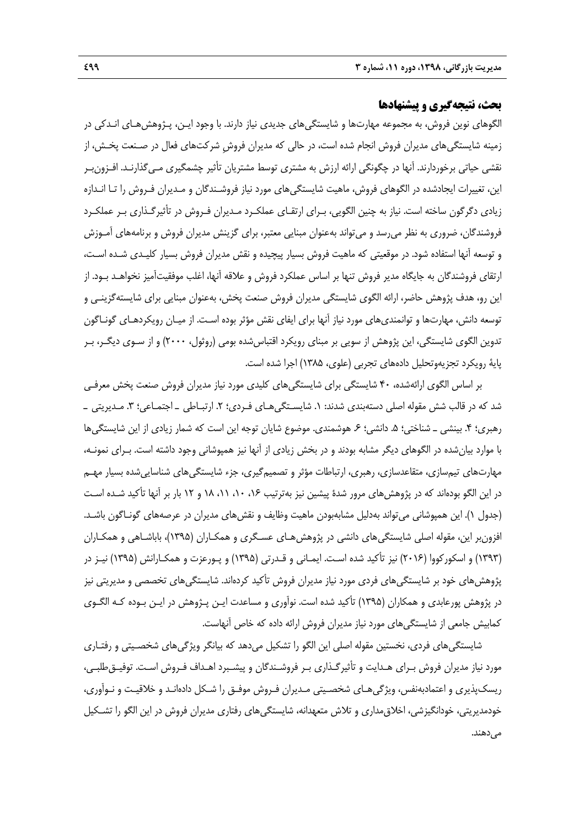# **بحث، نتيجهگيري و پيشنهادها**

الگوهاي نوين فروش، به مجموعه مهارتها و شايستگيهاي جديدي نياز دارند. با وجود ايـن، پـژوهشهـاي انـدكي در زمينه شايستگيهاي مديران فروش انجام شده است، در حالي كه مديران فروشِ شركتهاي فعال در صـنعت پخـش، از نقشي حياتي برخوردارند. آنها در چگونگي ارائه ارزش به مشتري توسط مشتريان تأثير چشمگيري مـيگذارنـد. افـزونبـر اين، تغييرات ايجادشده در الگوهاي فروش، ماهيت شايستگيهاي مورد نياز فروشـندگان و مـديران فـروش را تـا انـدازه زيادي دگرگون ساخته است. نياز به چنين الگويي، بـراي ارتقـاي عملكـرد مـديران فـروش در تأثيرگـذاري بـر عملكـرد فروشندگان، ضروري به نظر ميرسد و ميتواند بهعنوان مبنايي معتبر، براي گزينش مديران فروش و برنامههاي آمـوزش و توسعه آنها استفاده شود. در موقعيتي كه ماهيت فروش بسيار پيچيده و نقش مديران فروش بسيار كليـدي شـده اسـت، ارتقاي فروشندگان به جايگاه مدير فروش تنها بر اساس عملكرد فروش و علاقه آنها، اغلب موفقيتآميز نخواهـد بـود. از اين رو، هدف پژوهش حاضر، ارائه الگوي شايستگي مديران فروش صنعت پخش، بهعنوان مبنايي براي شايستهگزينـي و توسعه دانش، مهارتها و توانمنديهاي مورد نياز آنها براي ايفاي نقش مؤثر بوده اسـت. از ميـان رويكردهـاي گونـاگون تدوين الگوي شايستگي، اين پژوهش از سويي بر مبناي رويكرد اقتباسشده بومي (روثول، 2000) و از سـوي ديگـر، بـر پاية رويكرد تجزيهوتحليل دادههاي تجربي (علوي، 1385) اجرا شده است.

بر اساس الگوي ارائهشده، 40 شايستگي براي شايستگيهاي كليدي مورد نياز مديران فروش صنعت پخش معرفـي شد كه در قالب شش مقوله اصلي دستهبندي شدند: ۱. شايسـتگي هـاي فـردي؛ ۲. ارتبـاطي ـ اجتمـاعي؛ ۳. مـديريتي ــ رهبري؛ ۴. بينشي ــ شناختي؛ ۵. دانشي؛ ۶. هوشمندي. موضوع شايان توجه اين است كه شمار زيادي از اين شايستگي ها با موارد بيانشده در الگوهاي ديگر مشابه بودند و در بخش زيادي از آنها نيز همپوشاني وجود داشته است. بـراي نمونـه، مهارتهاي تيمسازي، متقاعدسازي، رهبري، ارتباطات مؤثر و تصميمگيري، جزء شايستگيهاي شناساييشده بسيار مهـم در اين الگو بودهاند كه در پژوهشهاي مرور شدهٔ پيشين نيز بهترتيب ۱۶، ۱۰، ۱۱، ۱۸ و ۱۲ بار بر آنها تأكيد شـده اسـت (جدول 1). اين همپوشاني ميتواند بهدليل مشابهبودن ماهيت وظايف و نقشهاي مديران در عرصههاي گونـاگون باشـد. افزونبر اين، مقوله اصلي شايستگيهاي دانشي در پژوهشهـاي عسـگري و همكـاران (1395)، باباشـاهي و همكـاران (1393) و اسكوركووا (2016) نيز تأكيد شده اسـت. ايمـاني و قـدرتي (1395) و پـورعزت و همكـارانش (1395) نيـز در پژوهشهاي خود بر شايستگيهاي فردي مورد نياز مديران فروش تأكيد كردهاند. شايستگيهاي تخصصي و مديريتي نيز در پژوهش پورعابدي و همكاران (1395) تأكيد شده است. نوآوري و مساعدت ايـن پـژوهش در ايـن بـوده كـه الگـوي كمابيش جامعي از شايستگيهاي مورد نياز مديران فروش ارائه داده كه خاص آنهاست.

شايستگيهاي فردي، نخستين مقوله اصلي اين الگو را تشكيل ميدهد كه بيانگر ويژگيهاي شخصـيتي و رفتـاري مورد نياز مديران فروش بـراي هـدايت و تأثيرگـذاري بـر فروشـندگان و پيشـبرد اهـداف فـروش اسـت. توفيـقطلبـي، ريسكپذيري و اعتمادبهنفس، ويژگيهـاي شخصـيتي مـديران فـروش موفـق را شـكل دادهانـد و خلاقيـت و نـوآوري، خودمديريتي، خودانگيزشي، اخلاقمداري و تلاش متعهدانه، شايستگيهاي رفتاري مديران فروش در اين الگو را تشـكيل مي دهند.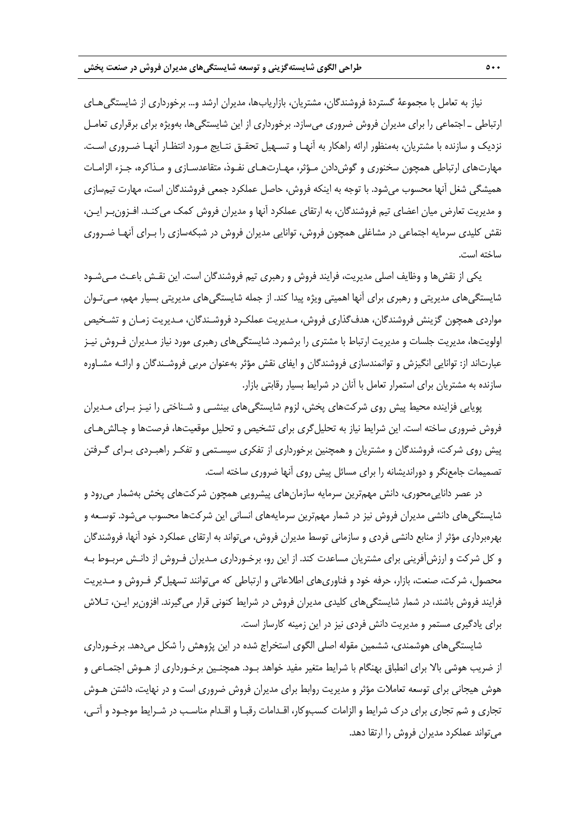نياز به تعامل با مجموعة گستردة فروشندگان، مشتريان، بازاريابها، مديران ارشد و... برخورداري از شايستگيهـاي ارتباطي ـ اجتماعي را براي مديران فروش ضروري ميسازد. برخورداري از اين شايستگيها، بهويژه براي برقراري تعامـل نزديك و سازنده با مشتريان، بهمنظور ارائه راهكار به آنهـا و تسـهيل تحقـق نتـايج مـورد انتظـار آنهـا ضـروري اسـت . مهارتهاي ارتباطي همچون سخنوري و گوشدادن مـؤثر، مهـارتهـاي نفـوذ، متقاعدسـازي و مـذاكره، جـزء الزامـات هميشگي شغل آنها محسوب ميشود. با توجه به اينكه فروش، حاصل عملكرد جمعي فروشندگان است، مهارت تيمسازي و مديريت تعارض ميان اعضاي تيم فروشندگان، به ارتقاي عملكرد آنها و مديران فروش كمك ميكنـد. افـزونبـر ايـن، نقش كليدي سرمايه اجتماعي در مشاغلي همچون فروش، توانايي مديران فروش در شبكهسازي را بـراي آنهـا ضـروري ساخته است.

يكي از نقشها و وظايف اصلي مديريت، فرايند فروش و رهبري تيم فروشندگان است. اين نقـش باعـث مـيشـود شايستگيهاي مديريتي و رهبري براي آنها اهميتي ويژه پيدا كند. از جمله شايستگيهاي مديريتي بسيار مهم، مـيتـوان مواردي همچون گزينش فروشندگان، هدفگذاري فروش، مـديريت عملكـرد فروشـندگان، مـديريت زمـان و تشـخيص اولويتها، مديريت جلسات و مديريت ارتباط با مشتري را برشمرد. شايستگيهاي رهبري مورد نياز مـديران فـروش نيـز عبارتاند از: توانايي انگيزش و توانمندسازي فروشندگان و ايفاي نقش مؤثر بهعنوان مربي فروشـندگان و ارائـه مشـاوره سازنده به مشتريان براي استمرار تعامل با آنان در شرايط بسيار رقابتي بازار.

پويايي فزاينده محيط پيش روي شركتهاي پخش، لزوم شايستگيهاي بينشـي و شـناختي را نيـز بـراي مـديران فروش ضروري ساخته است. اين شرايط نياز به تحليلگري براي تشخيص و تحليل موقعيتها، فرصتها و چـالشهـاي پيش روي شركت، فروشندگان و مشتريان و همچنين برخورداري از تفكري سيسـتمي و تفكـر راهبـردي بـراي گـرفتن تصميمات جامعنگر و دورانديشانه را براي مسائل پيش روي آنها ضروري ساخته است.

در عصر داناييمحوري، دانش مهمترين سرمايه سازمانهاي پيشرويي همچون شركتهاي پخش بهشمار ميرود و شايستگيهاي دانشي مديران فروش نيز در شمار مهمترين سرمايههاي انساني اين شركتها محسوب ميشود. توسـعه و بهرهبرداري مؤثر از منابع دانشي فردي و سازماني توسط مديران فروش، ميتواند به ارتقاي عملكرد خود آنها، فروشندگان و كل شركت و ارزشآفريني براي مشتريان مساعدت كند. از اين رو، برخـورداري مـديران فـروش از دانـش مربـوط بـه محصول، شركت، صنعت، بازار، حرفه خود و فناوريهاي اطلاعاتي و ارتباطي كه ميتوانند تسهيلگر فـروش و مـديريت فرايند فروش باشند، در شمار شايستگيهاي كليدي مديران فروش در شرايط كنوني قرار ميگيرند. افزونبر ايـن، تـلاش براي يادگيري مستمر و مديريت دانش فردي نيز در اين زمينه كارساز است.

شايستگيهاي هوشمندي، ششمين مقوله اصلي الگوي استخراج شده در اين پژوهش را شكل ميدهد. برخـورداري از ضريب هوشي بالا براي انطباق بهنگام با شرايط متغير مفيد خواهد بـود. همچنـين برخـورداري از هـوش اجتمـاعي و هوش هيجاني براي توسعه تعاملات مؤثر و مديريت روابط براي مديران فروش ضروري است و در نهايت، داشتن هـوش تجاري و شم تجاري براي درك شرايط و الزامات كسبوكار، اقـدامات رقبـا و اقـدام مناسـب در شـرايط موجـود و آتـي، ميتواند عملكرد مديران فروش را ارتقا دهد.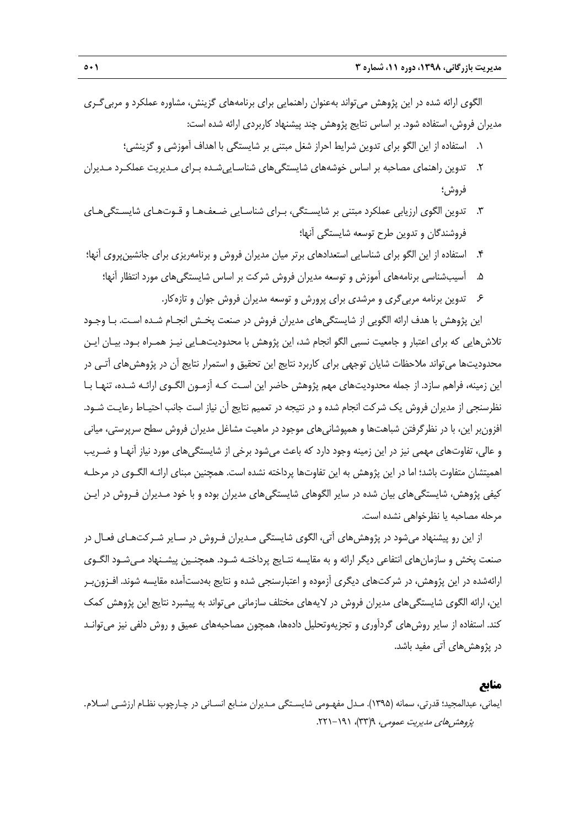الگوي ارائه شده در اين پژوهش ميتواند بهعنوان راهنمايي براي برنامههاي گزينش، مشاوره عملكرد و مربيگـري مديران فروش، استفاده شود. بر اساس نتايج پژوهش چند پيشنهاد كاربردي ارائه شده است:

- .1 استفاده از اين الگو براي تدوين شرايط احراز شغل مبتني بر شايستگي با اهداف آموزشي و گزينشي؛
- .2 تدوين راهنماي مصاحبه بر اساس خوشههاي شايستگيهاي شناسـاييشـده بـراي مـديريت عملكـرد مـديران فروش؛
- .3 تدوين الگوي ارزيابي عملكرد مبتني بر شايسـتگي، بـراي شناسـايي ضـعفهـا و قـوتهـاي شايسـتگيهـاي فروشندگان و تدوين طرح توسعه شايستگي آنها؛
- .4 استفاده از اين الگو براي شناسايي استعدادهاي برتر ميان مديران فروش و برنامهريزي براي جانشينپروي آنها؛
	- .5 آسيبشناسي برنامههاي آموزش و توسعه مديران فروش شركت بر اساس شايستگيهاي مورد انتظار آنها؛
		- .6 تدوين برنامه مربيگري و مرشدي براي پرورش و توسعه مديران فروش جوان و تازهكار.

اين پژوهش با هدف ارائه الگويي از شايستگيهاي مديران فروش در صنعت پخـش انجـام شـده اسـت. بـا وجـود تلاشهايي كه براي اعتبار و جامعيت نسبي الگو انجام شد، اين پژوهش با محدوديتهـايي نيـز همـراه بـود. بيـان ايـن محدوديتها ميتواند ملاحظات شايان توجهي براي كاربرد نتايج اين تحقيق و استمرار نتايج آن در پژوهشهاي آتـي در اين زمينه، فراهم سازد. از جمله محدوديتهاي مهم پژوهش حاضر اين اسـت كـه آزمـون الگـوي ارائـه شـده، تنهـا بـا نظرسنجي از مديران فروش يك شركت انجام شده و در نتيجه در تعميم نتايج آن نياز است جانب احتيـاط رعايـت شـود. افزونبر اين، با در نظرگرفتن شباهتها و همپوشانيهاي موجود در ماهيت مشاغل مديران فروش سطح سرپرستي، مياني و عالي، تفاوتهاي مهمي نيز در اين زمينه وجود دارد كه باعث ميشود برخي از شايستگيهاي مورد نياز آنهـا و ضـريب اهميتشان متفاوت باشد؛ اما در اين پژوهش به اين تفاوتها پرداخته نشده است. همچنين مبناي ارائـه الگـوي در مرحلـه كيفي پژوهش، شايستگيهاي بيان شده در ساير الگوهاي شايستگيهاي مديران بوده و با خود مـديران فـروش در ايـن مرحله مصاحبه يا نظرخواهي نشده است.

از اين رو پيشنهاد ميشود در پژوهشهاي آتي، الگوي شايستگي مـديران فـروش در سـاير شـركتهـاي فعـال در صنعت پخش و سازمانهاي انتفاعي ديگر ارائه و به مقايسه نتـايج پرداختـه شـود. همچنـين پيشـنهاد مـيشـود الگـوي ارائهشده در اين پژوهش، در شركتهاي ديگري آزموده و اعتبارسنجي شده و نتايج بهدستآمده مقايسه شوند. افـزونبـر اين، ارائه الگوي شايستگيهاي مديران فروش در لايههاي مختلف سازماني ميتواند به پيشبرد نتايج اين پژوهش كمك كند. استفاده از ساير روشهاي گردآوري و تجزيهوتحليل دادهها، همچون مصاحبههاي عميق و روش دلفي نيز ميتوانـد در پژوهشهاي آتي مفيد باشد.

#### **منابع**

ايماني، عبدالمجيد؛ قدرتي، سمانه (1395). مـدل مفهـومي شايسـتگي مـديران منـابع انسـاني در چـارچوب نظـام ارزشـي اسـلام. پژوهشهاي مديريت عمومي، ٩(٣٣)، ١٩١-٢٢١.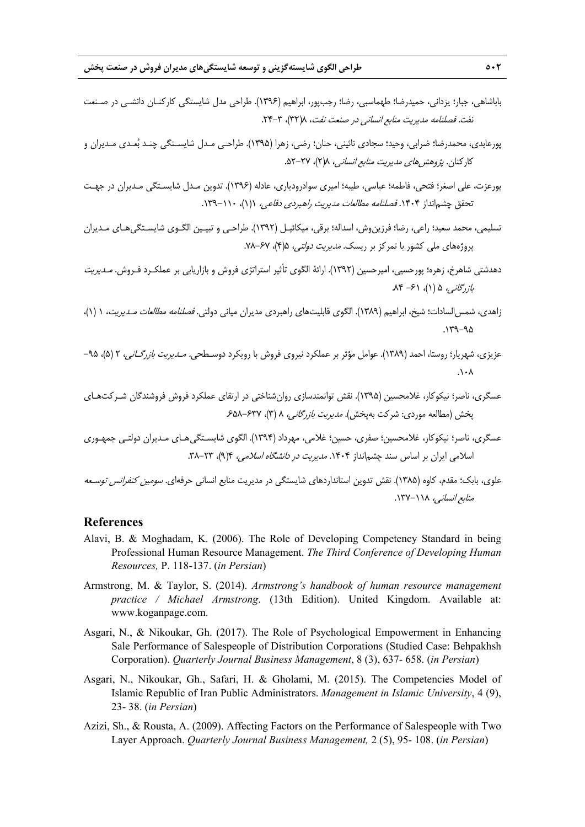- باباشاهي، جبار؛ يزداني، حميدرضا؛ طهماسبي، رضا؛ رجبپور، ابراهيم (1396). طراحي مدل شايستگي كاركنـان دانشـي در صـنعت نفت. فصلنامه مديريت منابع انساني در صنعت نفت، ٨(٣٢)، ٣-٢۴.
- پورعابدي، محمدرضا؛ ضرابي، وحيد؛ سجادي نائيني، حنان؛ رضي، زهرا (1395). طراحـي مـدل شايسـتگي چنـد بعـدي مـديران و كاركنان. *پژوهش هاي مديريت منابع انساني، ٢*(٢)، ٢٧–۵۲.
- پورعزت، علي اصغر؛ فتحي، فاطمه؛ عباسي، طيبه؛ اميري سوادرودياري، عادله (1396). تدوين مـدل شايسـتگي مـديران در جهـت تحقق چشمانداز ۱۴۰۴. فصلنامه مطالعات مديريت راهبردي دفاعي، ١(١)، ١١٠-١٣٩.
- تسليمي، محمد سعيد؛ راعي، رضا؛ فرزينوش، اسداله؛ برقي، ميكائيـل (1392). طراحـي و تبيـين الگـوي شايسـتگيهـاي مـديران پروژههاي ملي كشور با تمركز بر ريسك. *مديريت دولتي،* ۶۵(۴)، ۶۷–۷۸.
- دهدشتي شاهرخ، زهره؛ پورحسيي، اميرحسين (1392). ارائة الگوي تأثير استراتژي فروش و بازاريابي بر عملكـرد فـروش. مـديريت  $\lambda$ بازرگاني، ۵ (۱)، ۶۱ - ۸۴.
- زاهدي، شمسالسادات؛ شيخ، ابراهيم (1389). الگوي قابليتهاي راهبردي مديران مياني دولتي. فصلنامه مطالعات مـديريت، 1 (1)،  $.119 - 90$
- عزيزي، شهريار؛ روستا، احمد (١٣٨٩). عوامل مؤثر بر عملكرد نيروي فروش با رويكرد دوسـطحي*. مـديريت بازرگـاني*، ٢ (۵)، ٩٥–  $\lambda \cdot \Lambda$
- عسگري، ناصر؛ نيكوكار، غلامحسين (1395). نقش توانمندسازي روانشناختي در ارتقاي عملكرد فروش فروشندگان شـركتهـاي پخش (مطالعه موردي: شركت بهپخش). *مديريت بازرگاني، ٨ (*٣)، ۶۵۸-۶۸۶.
- عسگري، ناصر؛ نيكوكار، غلامحسين؛ صفري، حسين؛ غلامي، مهرداد (1394). الگوي شايسـتگيهـاي مـديران دولتـي جمهـوري اسلامي ايران بر اساس سند چشمانداز ۱۴۰۴. *مديريت در دانشگاه اسلامي،* ۴(۹)، ۲۳-۳۸.
- علوي، بابك؛ مقدم، كاوه (1385). نقش تدوين استانداردهاي شايستگي در مديريت منابع انساني حرفهاي. سومين كنفرانس توسـعه منابع انساني، ١١٨-١٣٧.

## **References**

- Alavi, B. & Moghadam, K. (2006). The Role of Developing Competency Standard in being Professional Human Resource Management. *The Third Conference of Developing Human Resources,* P. 118-137. (*in Persian*)
- Armstrong, M. & Taylor, S. (2014). *Armstrong's handbook of human resource management practice / Michael Armstrong*. (13th Edition). United Kingdom. Available at: www.koganpage.com.
- Asgari, N., & Nikoukar, Gh. (2017). The Role of Psychological Empowerment in Enhancing Sale Performance of Salespeople of Distribution Corporations (Studied Case: Behpakhsh Corporation). *Quarterly Journal Business Management*, 8 (3), 637- 658. (*in Persian*)
- Asgari, N., Nikoukar, Gh., Safari, H. & Gholami, M. (2015). The Competencies Model of Islamic Republic of Iran Public Administrators. *Management in Islamic University*, 4 (9), 23- 38. (*in Persian*)
- Azizi, Sh., & Rousta, A. (2009). Affecting Factors on the Performance of Salespeople with Two Layer Approach. *Quarterly Journal Business Management,* 2 (5), 95- 108. (*in Persian*)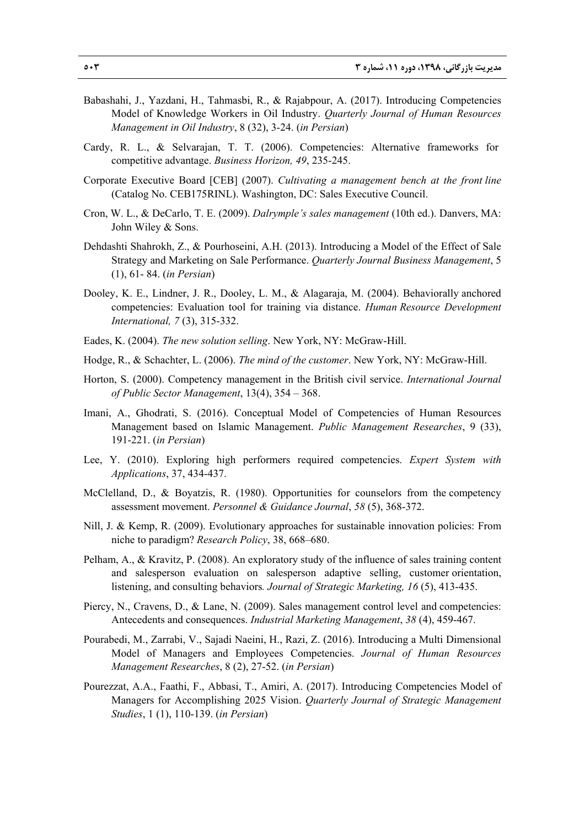- Babashahi, J., Yazdani, H., Tahmasbi, R., & Rajabpour, A. (2017). Introducing Competencies Model of Knowledge Workers in Oil Industry. *Quarterly Journal of Human Resources Management in Oil Industry*, 8 (32), 3-24. (*in Persian*)
- Cardy, R. L., & Selvarajan, T. T. (2006). Competencies: Alternative frameworks for competitive advantage. *Business Horizon, 49*, 235-245.
- Corporate Executive Board [CEB] (2007). *Cultivating a management bench at the front line*  (Catalog No. CEB175RINL). Washington, DC: Sales Executive Council.
- Cron, W. L., & DeCarlo, T. E. (2009). *Dalrymple's sales management* (10th ed.). Danvers, MA: John Wiley & Sons.
- Dehdashti Shahrokh, Z., & Pourhoseini, A.H. (2013). Introducing a Model of the Effect of Sale Strategy and Marketing on Sale Performance. *Quarterly Journal Business Management*, 5 (1), 61- 84. (*in Persian*)
- Dooley, K. E., Lindner, J. R., Dooley, L. M., & Alagaraja, M. (2004). Behaviorally anchored competencies: Evaluation tool for training via distance. *Human Resource Development International, 7* (3), 315-332.
- Eades, K. (2004). *The new solution selling*. New York, NY: McGraw-Hill.
- Hodge, R., & Schachter, L. (2006). *The mind of the customer*. New York, NY: McGraw-Hill.
- Horton, S. (2000). Competency management in the British civil service. *International Journal of Public Sector Management*, 13(4), 354 – 368.
- Imani, A., Ghodrati, S. (2016). Conceptual Model of Competencies of Human Resources Management based on Islamic Management. *Public Management Researches*, 9 (33), 191-221. (*in Persian*)
- Lee, Y. (2010). Exploring high performers required competencies. *Expert System with Applications*, 37, 434-437.
- McClelland, D., & Boyatzis, R. (1980). Opportunities for counselors from the competency assessment movement. *Personnel & Guidance Journal*, *58* (5), 368-372.
- Nill, J. & Kemp, R. (2009). Evolutionary approaches for sustainable innovation policies: From niche to paradigm? *Research Policy*, 38, 668–680.
- Pelham, A., & Kravitz, P. (2008). An exploratory study of the influence of sales training content and salesperson evaluation on salesperson adaptive selling, customer orientation, listening, and consulting behaviors*. Journal of Strategic Marketing, 16* (5), 413-435.
- Piercy, N., Cravens, D., & Lane, N. (2009). Sales management control level and competencies: Antecedents and consequences. *Industrial Marketing Management*, *38* (4), 459-467.
- Pourabedi, M., Zarrabi, V., Sajadi Naeini, H., Razi, Z. (2016). Introducing a Multi Dimensional Model of Managers and Employees Competencies. *Journal of Human Resources Management Researches*, 8 (2), 27-52. (*in Persian*)
- Pourezzat, A.A., Faathi, F., Abbasi, T., Amiri, A. (2017). Introducing Competencies Model of Managers for Accomplishing 2025 Vision. *Quarterly Journal of Strategic Management Studies*, 1 (1), 110-139. (*in Persian*)